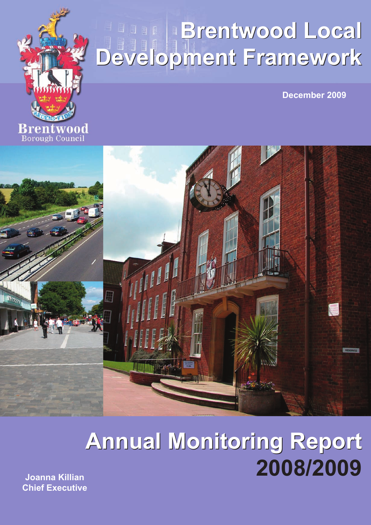

# **Brentwood Local Brentwood Local Development Framework Development Framework**

**December 2009**



# **Annual Monitoring Report Annual Monitoring Report 2008/2009**

**Joanna Killian Chief Executive**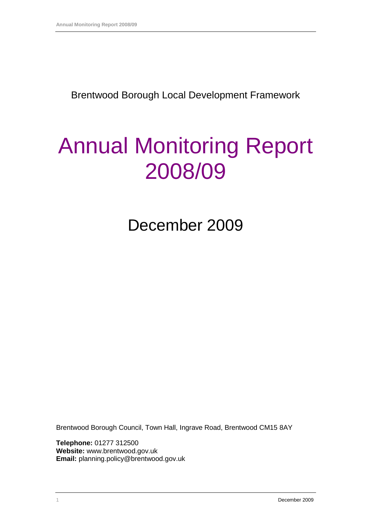Brentwood Borough Local Development Framework

# Annual Monitoring Report 2008/09

December 2009

Brentwood Borough Council, Town Hall, Ingrave Road, Brentwood CM15 8AY

**Telephone:** 01277 312500 **Website:** www.brentwood.gov.uk **Email:** planning.policy@brentwood.gov.uk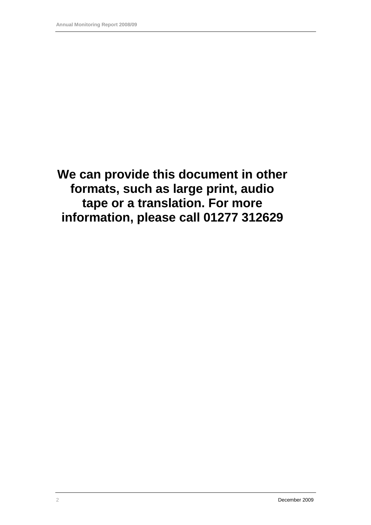**We can provide this document in other formats, such as large print, audio tape or a translation. For more information, please call 01277 312629**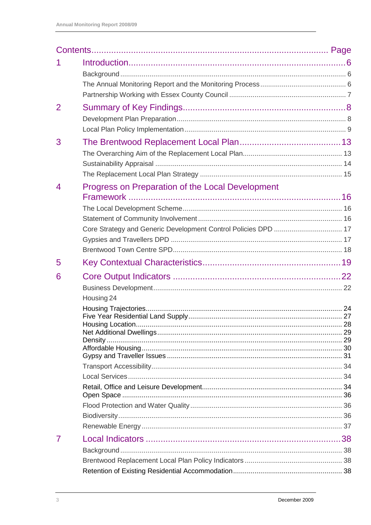| $\overline{2}$ |                                                                |  |
|----------------|----------------------------------------------------------------|--|
|                |                                                                |  |
| 3              |                                                                |  |
| $\overline{4}$ | Progress on Preparation of the Local Development               |  |
|                |                                                                |  |
|                | Core Strategy and Generic Development Control Policies DPD  17 |  |
|                |                                                                |  |
|                |                                                                |  |
| 5              |                                                                |  |
| 6              |                                                                |  |
|                | Housing 24                                                     |  |
|                |                                                                |  |
|                |                                                                |  |
|                |                                                                |  |
|                |                                                                |  |
|                |                                                                |  |
|                |                                                                |  |
|                |                                                                |  |
|                |                                                                |  |
|                |                                                                |  |
|                |                                                                |  |
| 7              |                                                                |  |
|                |                                                                |  |
|                |                                                                |  |
|                |                                                                |  |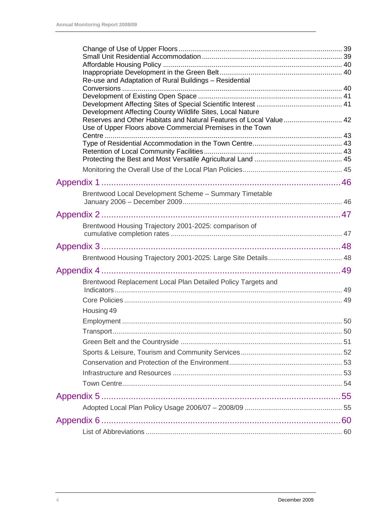| Re-use and Adaptation of Rural Buildings - Residential                                                                          |  |
|---------------------------------------------------------------------------------------------------------------------------------|--|
|                                                                                                                                 |  |
|                                                                                                                                 |  |
|                                                                                                                                 |  |
| Development Affecting County Wildlife Sites, Local Nature<br>Reserves and Other Habitats and Natural Features of Local Value 42 |  |
| Use of Upper Floors above Commercial Premises in the Town                                                                       |  |
|                                                                                                                                 |  |
|                                                                                                                                 |  |
|                                                                                                                                 |  |
|                                                                                                                                 |  |
|                                                                                                                                 |  |
|                                                                                                                                 |  |
| Brentwood Local Development Scheme - Summary Timetable                                                                          |  |
|                                                                                                                                 |  |
|                                                                                                                                 |  |
| Brentwood Housing Trajectory 2001-2025: comparison of                                                                           |  |
|                                                                                                                                 |  |
|                                                                                                                                 |  |
|                                                                                                                                 |  |
|                                                                                                                                 |  |
| Brentwood Replacement Local Plan Detailed Policy Targets and                                                                    |  |
|                                                                                                                                 |  |
|                                                                                                                                 |  |
| Housing 49                                                                                                                      |  |
|                                                                                                                                 |  |
|                                                                                                                                 |  |
|                                                                                                                                 |  |
|                                                                                                                                 |  |
|                                                                                                                                 |  |
|                                                                                                                                 |  |
|                                                                                                                                 |  |
|                                                                                                                                 |  |
|                                                                                                                                 |  |
|                                                                                                                                 |  |
|                                                                                                                                 |  |
|                                                                                                                                 |  |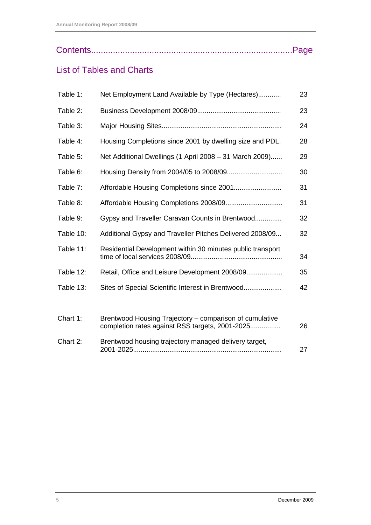|--|--|

### List of Tables and Charts

| Table 1:  | Net Employment Land Available by Type (Hectares)                                                           | 23 |
|-----------|------------------------------------------------------------------------------------------------------------|----|
| Table 2:  |                                                                                                            | 23 |
| Table 3:  |                                                                                                            | 24 |
| Table 4:  | Housing Completions since 2001 by dwelling size and PDL.                                                   | 28 |
| Table 5:  | Net Additional Dwellings (1 April 2008 - 31 March 2009)                                                    | 29 |
| Table 6:  |                                                                                                            | 30 |
| Table 7:  |                                                                                                            | 31 |
| Table 8:  |                                                                                                            | 31 |
| Table 9:  | Gypsy and Traveller Caravan Counts in Brentwood                                                            | 32 |
| Table 10: | Additional Gypsy and Traveller Pitches Delivered 2008/09                                                   | 32 |
| Table 11: | Residential Development within 30 minutes public transport                                                 | 34 |
| Table 12: | Retail, Office and Leisure Development 2008/09                                                             | 35 |
| Table 13: | Sites of Special Scientific Interest in Brentwood                                                          | 42 |
| Chart 1:  | Brentwood Housing Trajectory – comparison of cumulative<br>completion rates against RSS targets, 2001-2025 | 26 |
| Chart 2:  | Brentwood housing trajectory managed delivery target,                                                      | 27 |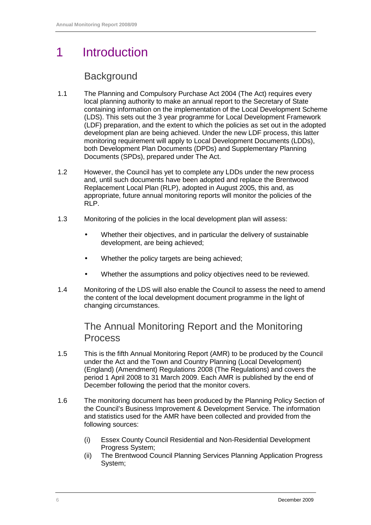# 1 Introduction

### **Background**

- 1.1 The Planning and Compulsory Purchase Act 2004 (The Act) requires every local planning authority to make an annual report to the Secretary of State containing information on the implementation of the Local Development Scheme (LDS). This sets out the 3 year programme for Local Development Framework (LDF) preparation, and the extent to which the policies as set out in the adopted development plan are being achieved. Under the new LDF process, this latter monitoring requirement will apply to Local Development Documents (LDDs), both Development Plan Documents (DPDs) and Supplementary Planning Documents (SPDs), prepared under The Act.
- 1.2 However, the Council has yet to complete any LDDs under the new process and, until such documents have been adopted and replace the Brentwood Replacement Local Plan (RLP), adopted in August 2005, this and, as appropriate, future annual monitoring reports will monitor the policies of the RLP.
- 1.3 Monitoring of the policies in the local development plan will assess:
	- Whether their objectives, and in particular the delivery of sustainable development, are being achieved;
	- Whether the policy targets are being achieved;
	- Whether the assumptions and policy objectives need to be reviewed.
- 1.4 Monitoring of the LDS will also enable the Council to assess the need to amend the content of the local development document programme in the light of changing circumstances.

#### The Annual Monitoring Report and the Monitoring Process

- 1.5 This is the fifth Annual Monitoring Report (AMR) to be produced by the Council under the Act and the Town and Country Planning (Local Development) (England) (Amendment) Regulations 2008 (The Regulations) and covers the period 1 April 2008 to 31 March 2009. Each AMR is published by the end of December following the period that the monitor covers.
- 1.6 The monitoring document has been produced by the Planning Policy Section of the Council's Business Improvement & Development Service. The information and statistics used for the AMR have been collected and provided from the following sources:
	- (i) Essex County Council Residential and Non-Residential Development Progress System;
	- (ii) The Brentwood Council Planning Services Planning Application Progress System;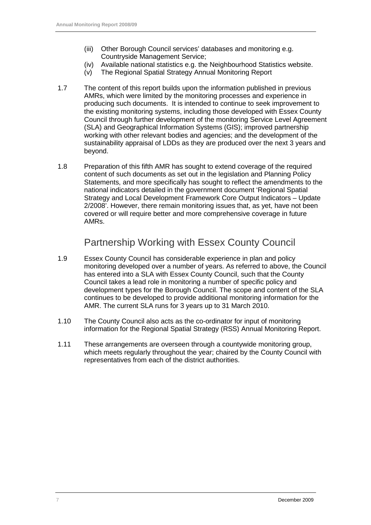- (iii) Other Borough Council services' databases and monitoring e.g. Countryside Management Service;
- (iv) Available national statistics e.g. the Neighbourhood Statistics website.
- (v) The Regional Spatial Strategy Annual Monitoring Report
- 1.7 The content of this report builds upon the information published in previous AMRs, which were limited by the monitoring processes and experience in producing such documents. It is intended to continue to seek improvement to the existing monitoring systems, including those developed with Essex County Council through further development of the monitoring Service Level Agreement (SLA) and Geographical Information Systems (GIS); improved partnership working with other relevant bodies and agencies; and the development of the sustainability appraisal of LDDs as they are produced over the next 3 years and beyond.
- 1.8 Preparation of this fifth AMR has sought to extend coverage of the required content of such documents as set out in the legislation and Planning Policy Statements, and more specifically has sought to reflect the amendments to the national indicators detailed in the government document 'Regional Spatial Strategy and Local Development Framework Core Output Indicators – Update 2/2008'. However, there remain monitoring issues that, as yet, have not been covered or will require better and more comprehensive coverage in future AMRs.

### Partnership Working with Essex County Council

- 1.9 Essex County Council has considerable experience in plan and policy monitoring developed over a number of years. As referred to above, the Council has entered into a SLA with Essex County Council, such that the County Council takes a lead role in monitoring a number of specific policy and development types for the Borough Council. The scope and content of the SLA continues to be developed to provide additional monitoring information for the AMR. The current SLA runs for 3 years up to 31 March 2010.
- 1.10 The County Council also acts as the co-ordinator for input of monitoring information for the Regional Spatial Strategy (RSS) Annual Monitoring Report.
- 1.11 These arrangements are overseen through a countywide monitoring group, which meets regularly throughout the year; chaired by the County Council with representatives from each of the district authorities.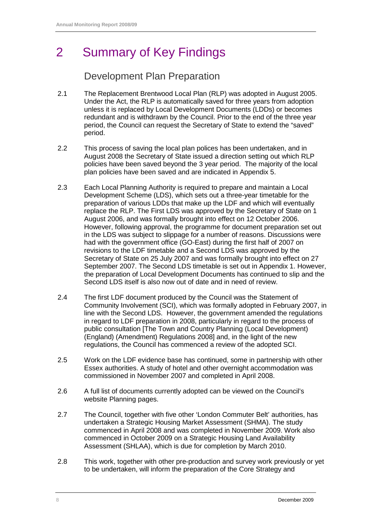# 2 Summary of Key Findings

### Development Plan Preparation

- 2.1 The Replacement Brentwood Local Plan (RLP) was adopted in August 2005. Under the Act, the RLP is automatically saved for three years from adoption unless it is replaced by Local Development Documents (LDDs) or becomes redundant and is withdrawn by the Council. Prior to the end of the three year period, the Council can request the Secretary of State to extend the "saved" period.
- 2.2 This process of saving the local plan polices has been undertaken, and in August 2008 the Secretary of State issued a direction setting out which RLP policies have been saved beyond the 3 year period. The majority of the local plan policies have been saved and are indicated in Appendix 5.
- 2.3 Each Local Planning Authority is required to prepare and maintain a Local Development Scheme (LDS), which sets out a three-year timetable for the preparation of various LDDs that make up the LDF and which will eventually replace the RLP. The First LDS was approved by the Secretary of State on 1 August 2006, and was formally brought into effect on 12 October 2006. However, following approval, the programme for document preparation set out in the LDS was subject to slippage for a number of reasons. Discussions were had with the government office (GO-East) during the first half of 2007 on revisions to the LDF timetable and a Second LDS was approved by the Secretary of State on 25 July 2007 and was formally brought into effect on 27 September 2007. The Second LDS timetable is set out in Appendix 1. However, the preparation of Local Development Documents has continued to slip and the Second LDS itself is also now out of date and in need of review.
- 2.4 The first LDF document produced by the Council was the Statement of Community Involvement (SCI), which was formally adopted in February 2007, in line with the Second LDS. However, the government amended the regulations in regard to LDF preparation in 2008, particularly in regard to the process of public consultation [The Town and Country Planning (Local Development) (England) (Amendment) Regulations 2008] and, in the light of the new regulations, the Council has commenced a review of the adopted SCI.
- 2.5 Work on the LDF evidence base has continued, some in partnership with other Essex authorities. A study of hotel and other overnight accommodation was commissioned in November 2007 and completed in April 2008.
- 2.6 A full list of documents currently adopted can be viewed on the Council's website Planning pages.
- 2.7 The Council, together with five other 'London Commuter Belt' authorities, has undertaken a Strategic Housing Market Assessment (SHMA). The study commenced in April 2008 and was completed in November 2009. Work also commenced in October 2009 on a Strategic Housing Land Availability Assessment (SHLAA), which is due for completion by March 2010.
- 2.8 This work, together with other pre-production and survey work previously or yet to be undertaken, will inform the preparation of the Core Strategy and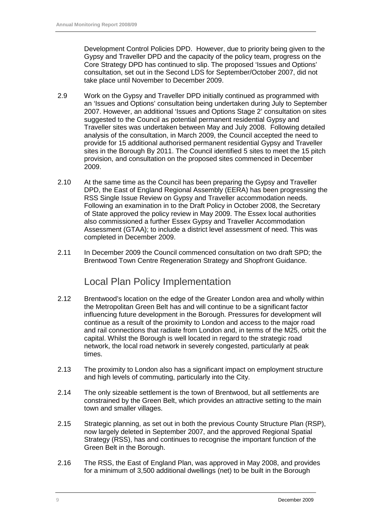Development Control Policies DPD. However, due to priority being given to the Gypsy and Traveller DPD and the capacity of the policy team, progress on the Core Strategy DPD has continued to slip. The proposed 'Issues and Options' consultation, set out in the Second LDS for September/October 2007, did not take place until November to December 2009.

- 2.9 Work on the Gypsy and Traveller DPD initially continued as programmed with an 'Issues and Options' consultation being undertaken during July to September 2007. However, an additional 'Issues and Options Stage 2' consultation on sites suggested to the Council as potential permanent residential Gypsy and Traveller sites was undertaken between May and July 2008. Following detailed analysis of the consultation, in March 2009, the Council accepted the need to provide for 15 additional authorised permanent residential Gypsy and Traveller sites in the Borough By 2011. The Council identified 5 sites to meet the 15 pitch provision, and consultation on the proposed sites commenced in December 2009.
- 2.10 At the same time as the Council has been preparing the Gypsy and Traveller DPD, the East of England Regional Assembly (EERA) has been progressing the RSS Single Issue Review on Gypsy and Traveller accommodation needs. Following an examination in to the Draft Policy in October 2008, the Secretary of State approved the policy review in May 2009. The Essex local authorities also commissioned a further Essex Gypsy and Traveller Accommodation Assessment (GTAA); to include a district level assessment of need. This was completed in December 2009.
- 2.11 In December 2009 the Council commenced consultation on two draft SPD; the Brentwood Town Centre Regeneration Strategy and Shopfront Guidance.

### Local Plan Policy Implementation

- 2.12 Brentwood's location on the edge of the Greater London area and wholly within the Metropolitan Green Belt has and will continue to be a significant factor influencing future development in the Borough. Pressures for development will continue as a result of the proximity to London and access to the major road and rail connections that radiate from London and, in terms of the M25, orbit the capital. Whilst the Borough is well located in regard to the strategic road network, the local road network in severely congested, particularly at peak times.
- 2.13 The proximity to London also has a significant impact on employment structure and high levels of commuting, particularly into the City.
- 2.14 The only sizeable settlement is the town of Brentwood, but all settlements are constrained by the Green Belt, which provides an attractive setting to the main town and smaller villages.
- 2.15 Strategic planning, as set out in both the previous County Structure Plan (RSP), now largely deleted in September 2007, and the approved Regional Spatial Strategy (RSS), has and continues to recognise the important function of the Green Belt in the Borough.
- 2.16 The RSS, the East of England Plan, was approved in May 2008, and provides for a minimum of 3,500 additional dwellings (net) to be built in the Borough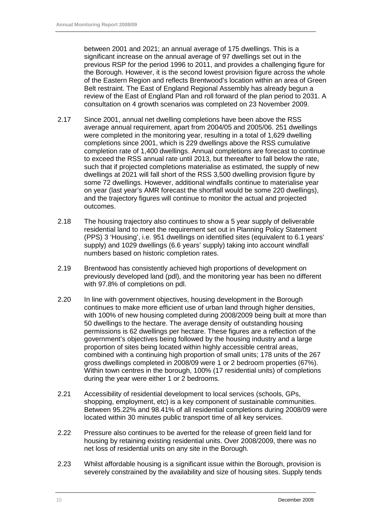between 2001 and 2021; an annual average of 175 dwellings. This is a significant increase on the annual average of 97 dwellings set out in the previous RSP for the period 1996 to 2011, and provides a challenging figure for the Borough. However, it is the second lowest provision figure across the whole of the Eastern Region and reflects Brentwood's location within an area of Green Belt restraint. The East of England Regional Assembly has already begun a review of the East of England Plan and roll forward of the plan period to 2031. A consultation on 4 growth scenarios was completed on 23 November 2009.

- 2.17 Since 2001, annual net dwelling completions have been above the RSS average annual requirement, apart from 2004/05 and 2005/06. 251 dwellings were completed in the monitoring year, resulting in a total of 1,629 dwelling completions since 2001, which is 229 dwellings above the RSS cumulative completion rate of 1,400 dwellings. Annual completions are forecast to continue to exceed the RSS annual rate until 2013, but thereafter to fall below the rate, such that if projected completions materialise as estimated, the supply of new dwellings at 2021 will fall short of the RSS 3,500 dwelling provision figure by some 72 dwellings. However, additional windfalls continue to materialise year on year (last year's AMR forecast the shortfall would be some 220 dwellings), and the trajectory figures will continue to monitor the actual and projected outcomes.
- 2.18 The housing trajectory also continues to show a 5 year supply of deliverable residential land to meet the requirement set out in Planning Policy Statement (PPS) 3 'Housing', i.e. 951 dwellings on identified sites (equivalent to 6.1 years' supply) and 1029 dwellings (6.6 years' supply) taking into account windfall numbers based on historic completion rates.
- 2.19 Brentwood has consistently achieved high proportions of development on previously developed land (pdl), and the monitoring year has been no different with 97.8% of completions on pdl.
- 2.20 In line with government objectives, housing development in the Borough continues to make more efficient use of urban land through higher densities, with 100% of new housing completed during 2008/2009 being built at more than 50 dwellings to the hectare. The average density of outstanding housing permissions is 62 dwellings per hectare. These figures are a reflection of the government's objectives being followed by the housing industry and a large proportion of sites being located within highly accessible central areas, combined with a continuing high proportion of small units; 178 units of the 267 gross dwellings completed in 2008/09 were 1 or 2 bedroom properties (67%). Within town centres in the borough, 100% (17 residential units) of completions during the year were either 1 or 2 bedrooms.
- 2.21 Accessibility of residential development to local services (schools, GPs, shopping, employment, etc) is a key component of sustainable communities. Between 95.22% and 98.41% of all residential completions during 2008/09 were located within 30 minutes public transport time of all key services.
- 2.22 Pressure also continues to be averted for the release of green field land for housing by retaining existing residential units. Over 2008/2009, there was no net loss of residential units on any site in the Borough.
- 2.23 Whilst affordable housing is a significant issue within the Borough, provision is severely constrained by the availability and size of housing sites. Supply tends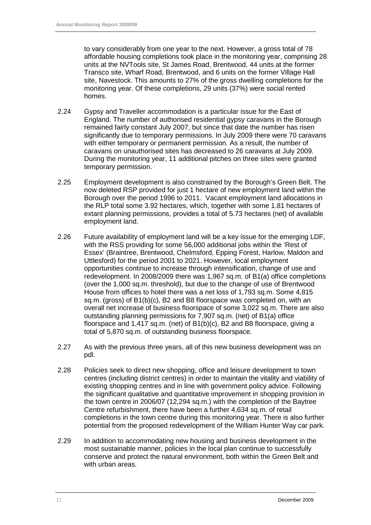to vary considerably from one year to the next. However, a gross total of 78 affordable housing completions took place in the monitoring year, comprising 28 units at the NVTools site, St James Road, Brentwood, 44 units at the former Transco site, Wharf Road, Brentwood, and 6 units on the former Village Hall site, Navestock. This amounts to 27% of the gross dwelling completions for the monitoring year. Of these completions, 29 units (37%) were social rented homes.

- 2.24 Gypsy and Traveller accommodation is a particular issue for the East of England. The number of authorised residential gypsy caravans in the Borough remained fairly constant July 2007, but since that date the number has risen significantly due to temporary permissions. In July 2009 there were 70 caravans with either temporary or permanent permission. As a result, the number of caravans on unauthorised sites has decreased to 26 caravans at July 2009. During the monitoring year, 11 additional pitches on three sites were granted temporary permission.
- 2.25 Employment development is also constrained by the Borough's Green Belt. The now deleted RSP provided for just 1 hectare of new employment land within the Borough over the period 1996 to 2011. Vacant employment land allocations in the RLP total some 3.92 hectares, which, together with some 1.81 hectares of extant planning permissions, provides a total of 5.73 hectares (net) of available employment land.
- 2.26 Future availability of employment land will be a key issue for the emerging LDF, with the RSS providing for some 56,000 additional jobs within the 'Rest of Essex' (Braintree, Brentwood, Chelmsford, Epping Forest, Harlow, Maldon and Uttlesford) for the period 2001 to 2021. However, local employment opportunities continue to increase through intensification, change of use and redevelopment. In 2008/2009 there was 1,967 sq.m. of B1(a) office completions (over the 1,000 sq.m. threshold), but due to the change of use of Brentwood House from offices to hotel there was a net loss of 1.793 sq.m. Some 4.815 sq.m. (gross) of B1(b)(c), B2 and B8 floorspace was completed on, with an overall net increase of business floorspace of some 3,022 sq.m. There are also outstanding planning permissions for 7,907 sq.m. (net) of B1(a) office floorspace and 1,417 sq.m. (net) of B1(b)(c), B2 and B8 floorspace, giving a total of 5,870 sq.m. of outstanding business floorspace.
- 2.27 As with the previous three years, all of this new business development was on pdl.
- 2.28 Policies seek to direct new shopping, office and leisure development to town centres (including district centres) in order to maintain the vitality and viability of existing shopping centres and in line with government policy advice. Following the significant qualitative and quantitative improvement in shopping provision in the town centre in 2006/07 (12,294 sq.m.) with the completion of the Baytree Centre refurbishment, there have been a further 4,634 sq.m. of retail completions in the town centre during this monitoring year. There is also further potential from the proposed redevelopment of the William Hunter Way car park.
- 2.29 In addition to accommodating new housing and business development in the most sustainable manner, policies in the local plan continue to successfully conserve and protect the natural environment, both within the Green Belt and with urban areas.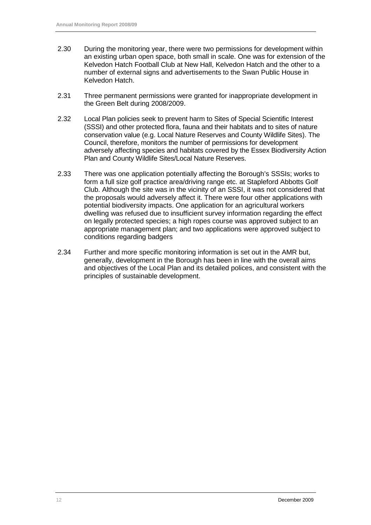- 2.30 During the monitoring year, there were two permissions for development within an existing urban open space, both small in scale. One was for extension of the Kelvedon Hatch Football Club at New Hall, Kelvedon Hatch and the other to a number of external signs and advertisements to the Swan Public House in Kelvedon Hatch.
- 2.31 Three permanent permissions were granted for inappropriate development in the Green Belt during 2008/2009.
- 2.32 Local Plan policies seek to prevent harm to Sites of Special Scientific Interest (SSSI) and other protected flora, fauna and their habitats and to sites of nature conservation value (e.g. Local Nature Reserves and County Wildlife Sites). The Council, therefore, monitors the number of permissions for development adversely affecting species and habitats covered by the Essex Biodiversity Action Plan and County Wildlife Sites/Local Nature Reserves.
- 2.33 There was one application potentially affecting the Borough's SSSIs; works to form a full size golf practice area/driving range etc. at Stapleford Abbotts Golf Club. Although the site was in the vicinity of an SSSI, it was not considered that the proposals would adversely affect it. There were four other applications with potential biodiversity impacts. One application for an agricultural workers dwelling was refused due to insufficient survey information regarding the effect on legally protected species; a high ropes course was approved subject to an appropriate management plan; and two applications were approved subject to conditions regarding badgers
- 2.34 Further and more specific monitoring information is set out in the AMR but, generally, development in the Borough has been in line with the overall aims and objectives of the Local Plan and its detailed polices, and consistent with the principles of sustainable development.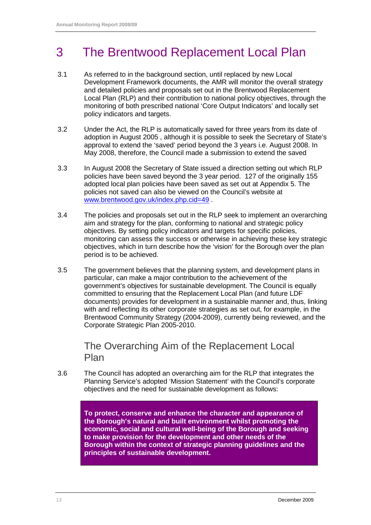# 3 The Brentwood Replacement Local Plan

- 3.1 As referred to in the background section, until replaced by new Local Development Framework documents, the AMR will monitor the overall strategy and detailed policies and proposals set out in the Brentwood Replacement Local Plan (RLP) and their contribution to national policy objectives, through the monitoring of both prescribed national 'Core Output Indicators' and locally set policy indicators and targets.
- 3.2 Under the Act, the RLP is automatically saved for three years from its date of adoption in August 2005 , although it is possible to seek the Secretary of State's approval to extend the 'saved' period beyond the 3 years i.e. August 2008. In May 2008, therefore, the Council made a submission to extend the saved
- 3.3 In August 2008 the Secretary of State issued a direction setting out which RLP policies have been saved beyond the 3 year period. 127 of the originally 155 adopted local plan policies have been saved as set out at Appendix 5. The policies not saved can also be viewed on the Council's website at www.brentwood.gov.uk/index.php.cid=49
- 3.4 The policies and proposals set out in the RLP seek to implement an overarching aim and strategy for the plan, conforming to national and strategic policy objectives. By setting policy indicators and targets for specific policies, monitoring can assess the success or otherwise in achieving these key strategic objectives, which in turn describe how the 'vision' for the Borough over the plan period is to be achieved.
- 3.5 The government believes that the planning system, and development plans in particular, can make a major contribution to the achievement of the government's objectives for sustainable development. The Council is equally committed to ensuring that the Replacement Local Plan (and future LDF documents) provides for development in a sustainable manner and, thus, linking with and reflecting its other corporate strategies as set out, for example, in the Brentwood Community Strategy (2004-2009), currently being reviewed, and the Corporate Strategic Plan 2005-2010.

### The Overarching Aim of the Replacement Local Plan

3.6 The Council has adopted an overarching aim for the RLP that integrates the Planning Service's adopted 'Mission Statement' with the Council's corporate objectives and the need for sustainable development as follows:

> **To protect, conserve and enhance the character and appearance of the Borough's natural and built environment whilst promoting the economic, social and cultural well-being of the Borough and seeking to make provision for the development and other needs of the Borough within the context of strategic planning guidelines and the principles of sustainable development.**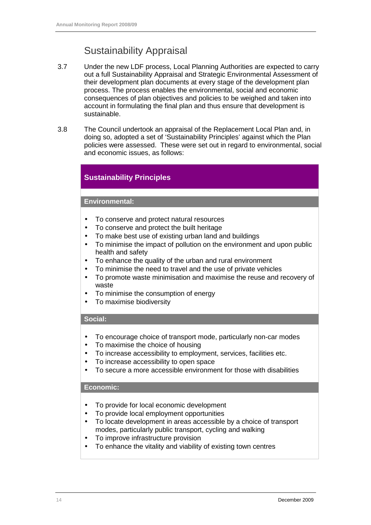## Sustainability Appraisal

- 3.7 Under the new LDF process, Local Planning Authorities are expected to carry out a full Sustainability Appraisal and Strategic Environmental Assessment of their development plan documents at every stage of the development plan process. The process enables the environmental, social and economic consequences of plan objectives and policies to be weighed and taken into account in formulating the final plan and thus ensure that development is sustainable.
- 3.8 The Council undertook an appraisal of the Replacement Local Plan and, in doing so, adopted a set of 'Sustainability Principles' against which the Plan policies were assessed. These were set out in regard to environmental, social and economic issues, as follows:

#### **Sustainability Principles**

#### **Environmental:**

- To conserve and protect natural resources
- To conserve and protect the built heritage
- To make best use of existing urban land and buildings
- To minimise the impact of pollution on the environment and upon public health and safety
- To enhance the quality of the urban and rural environment
- To minimise the need to travel and the use of private vehicles
- To promote waste minimisation and maximise the reuse and recovery of waste
- To minimise the consumption of energy
- To maximise biodiversity

#### **Social:**

- To encourage choice of transport mode, particularly non-car modes
- To maximise the choice of housing
- To increase accessibility to employment, services, facilities etc.
- To increase accessibility to open space
- To secure a more accessible environment for those with disabilities

#### **Economic:**

- To provide for local economic development
- To provide local employment opportunities
- To locate development in areas accessible by a choice of transport modes, particularly public transport, cycling and walking
- To improve infrastructure provision
- To enhance the vitality and viability of existing town centres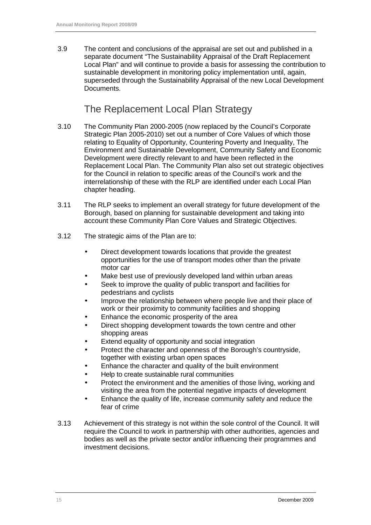3.9 The content and conclusions of the appraisal are set out and published in a separate document "The Sustainability Appraisal of the Draft Replacement Local Plan" and will continue to provide a basis for assessing the contribution to sustainable development in monitoring policy implementation until, again, superseded through the Sustainability Appraisal of the new Local Development Documents.

### The Replacement Local Plan Strategy

- 3.10 The Community Plan 2000-2005 (now replaced by the Council's Corporate Strategic Plan 2005-2010) set out a number of Core Values of which those relating to Equality of Opportunity, Countering Poverty and Inequality, The Environment and Sustainable Development, Community Safety and Economic Development were directly relevant to and have been reflected in the Replacement Local Plan. The Community Plan also set out strategic objectives for the Council in relation to specific areas of the Council's work and the interrelationship of these with the RLP are identified under each Local Plan chapter heading.
- 3.11 The RLP seeks to implement an overall strategy for future development of the Borough, based on planning for sustainable development and taking into account these Community Plan Core Values and Strategic Objectives.
- 3.12 The strategic aims of the Plan are to:
	- Direct development towards locations that provide the greatest opportunities for the use of transport modes other than the private motor car
	- Make best use of previously developed land within urban areas
	- Seek to improve the quality of public transport and facilities for pedestrians and cyclists
	- Improve the relationship between where people live and their place of work or their proximity to community facilities and shopping
	- Enhance the economic prosperity of the area
	- Direct shopping development towards the town centre and other shopping areas
	- Extend equality of opportunity and social integration
	- Protect the character and openness of the Borough's countryside, together with existing urban open spaces
	- Enhance the character and quality of the built environment
	- Help to create sustainable rural communities
	- Protect the environment and the amenities of those living, working and visiting the area from the potential negative impacts of development
	- Enhance the quality of life, increase community safety and reduce the fear of crime
- 3.13 Achievement of this strategy is not within the sole control of the Council. It will require the Council to work in partnership with other authorities, agencies and bodies as well as the private sector and/or influencing their programmes and investment decisions.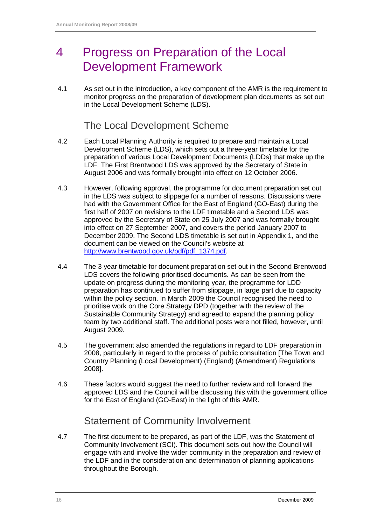# 4 Progress on Preparation of the Local Development Framework

4.1 As set out in the introduction, a key component of the AMR is the requirement to monitor progress on the preparation of development plan documents as set out in the Local Development Scheme (LDS).

#### The Local Development Scheme

- 4.2 Each Local Planning Authority is required to prepare and maintain a Local Development Scheme (LDS), which sets out a three-year timetable for the preparation of various Local Development Documents (LDDs) that make up the LDF. The First Brentwood LDS was approved by the Secretary of State in August 2006 and was formally brought into effect on 12 October 2006.
- 4.3 However, following approval, the programme for document preparation set out in the LDS was subject to slippage for a number of reasons. Discussions were had with the Government Office for the East of England (GO-East) during the first half of 2007 on revisions to the LDF timetable and a Second LDS was approved by the Secretary of State on 25 July 2007 and was formally brought into effect on 27 September 2007, and covers the period January 2007 to December 2009. The Second LDS timetable is set out in Appendix 1, and the document can be viewed on the Council's website at http://www.brentwood.gov.uk/pdf/pdf\_1374.pdf.
- 4.4 The 3 year timetable for document preparation set out in the Second Brentwood LDS covers the following prioritised documents. As can be seen from the update on progress during the monitoring year, the programme for LDD preparation has continued to suffer from slippage, in large part due to capacity within the policy section. In March 2009 the Council recognised the need to prioritise work on the Core Strategy DPD (together with the review of the Sustainable Community Strategy) and agreed to expand the planning policy team by two additional staff. The additional posts were not filled, however, until August 2009.
- 4.5 The government also amended the regulations in regard to LDF preparation in 2008, particularly in regard to the process of public consultation [The Town and Country Planning (Local Development) (England) (Amendment) Regulations 2008].
- 4.6 These factors would suggest the need to further review and roll forward the approved LDS and the Council will be discussing this with the government office for the East of England (GO-East) in the light of this AMR.

### Statement of Community Involvement

4.7 The first document to be prepared, as part of the LDF, was the Statement of Community Involvement (SCI). This document sets out how the Council will engage with and involve the wider community in the preparation and review of the LDF and in the consideration and determination of planning applications throughout the Borough.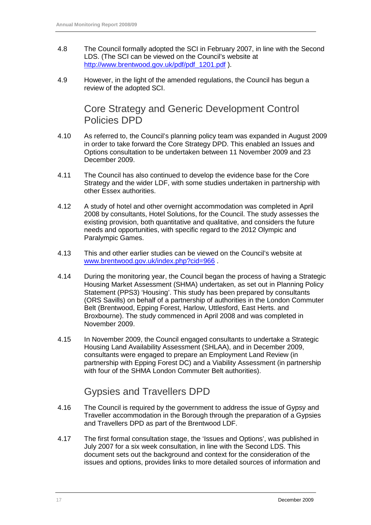- 4.8 The Council formally adopted the SCI in February 2007, in line with the Second LDS. (The SCI can be viewed on the Council's website at http://www.brentwood.gov.uk/pdf/pdf\_1201.pdf ).
- 4.9 However, in the light of the amended regulations, the Council has begun a review of the adopted SCI.

Core Strategy and Generic Development Control Policies DPD

- 4.10 As referred to, the Council's planning policy team was expanded in August 2009 in order to take forward the Core Strategy DPD. This enabled an Issues and Options consultation to be undertaken between 11 November 2009 and 23 December 2009.
- 4.11 The Council has also continued to develop the evidence base for the Core Strategy and the wider LDF, with some studies undertaken in partnership with other Essex authorities.
- 4.12 A study of hotel and other overnight accommodation was completed in April 2008 by consultants, Hotel Solutions, for the Council. The study assesses the existing provision, both quantitative and qualitative, and considers the future needs and opportunities, with specific regard to the 2012 Olympic and Paralympic Games.
- 4.13 This and other earlier studies can be viewed on the Council's website at www.brentwood.gov.uk/index.php?cid=966 .
- 4.14 During the monitoring year, the Council began the process of having a Strategic Housing Market Assessment (SHMA) undertaken, as set out in Planning Policy Statement (PPS3) 'Housing'. This study has been prepared by consultants (ORS Savills) on behalf of a partnership of authorities in the London Commuter Belt (Brentwood, Epping Forest, Harlow, Uttlesford, East Herts. and Broxbourne). The study commenced in April 2008 and was completed in November 2009.
- 4.15 In November 2009, the Council engaged consultants to undertake a Strategic Housing Land Availability Assessment (SHLAA), and in December 2009, consultants were engaged to prepare an Employment Land Review (in partnership with Epping Forest DC) and a Viability Assessment (in partnership with four of the SHMA London Commuter Belt authorities).

### Gypsies and Travellers DPD

- 4.16 The Council is required by the government to address the issue of Gypsy and Traveller accommodation in the Borough through the preparation of a Gypsies and Travellers DPD as part of the Brentwood LDF.
- 4.17 The first formal consultation stage, the 'Issues and Options', was published in July 2007 for a six week consultation, in line with the Second LDS. This document sets out the background and context for the consideration of the issues and options, provides links to more detailed sources of information and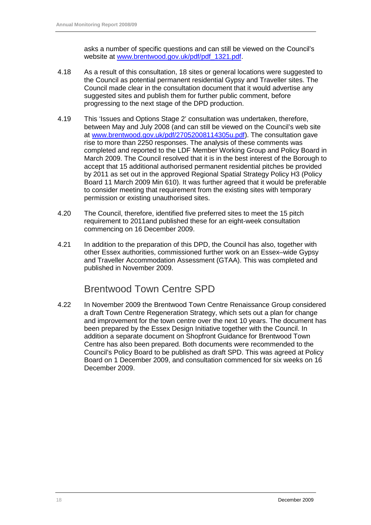asks a number of specific questions and can still be viewed on the Council's website at www.brentwood.gov.uk/pdf/pdf\_1321.pdf.

- 4.18 As a result of this consultation, 18 sites or general locations were suggested to the Council as potential permanent residential Gypsy and Traveller sites. The Council made clear in the consultation document that it would advertise any suggested sites and publish them for further public comment, before progressing to the next stage of the DPD production.
- 4.19 This 'Issues and Options Stage 2' consultation was undertaken, therefore, between May and July 2008 (and can still be viewed on the Council's web site at www.brentwood.gov.uk/pdf/27052008114305u.pdf). The consultation gave rise to more than 2250 responses. The analysis of these comments was completed and reported to the LDF Member Working Group and Policy Board in March 2009. The Council resolved that it is in the best interest of the Borough to accept that 15 additional authorised permanent residential pitches be provided by 2011 as set out in the approved Regional Spatial Strategy Policy H3 (Policy Board 11 March 2009 Min 610). It was further agreed that it would be preferable to consider meeting that requirement from the existing sites with temporary permission or existing unauthorised sites.
- 4.20 The Council, therefore, identified five preferred sites to meet the 15 pitch requirement to 2011and published these for an eight-week consultation commencing on 16 December 2009.
- 4.21 In addition to the preparation of this DPD, the Council has also, together with other Essex authorities, commissioned further work on an Essex–wide Gypsy and Traveller Accommodation Assessment (GTAA). This was completed and published in November 2009.

### Brentwood Town Centre SPD

4.22 In November 2009 the Brentwood Town Centre Renaissance Group considered a draft Town Centre Regeneration Strategy, which sets out a plan for change and improvement for the town centre over the next 10 years. The document has been prepared by the Essex Design Initiative together with the Council. In addition a separate document on Shopfront Guidance for Brentwood Town Centre has also been prepared. Both documents were recommended to the Council's Policy Board to be published as draft SPD. This was agreed at Policy Board on 1 December 2009, and consultation commenced for six weeks on 16 December 2009.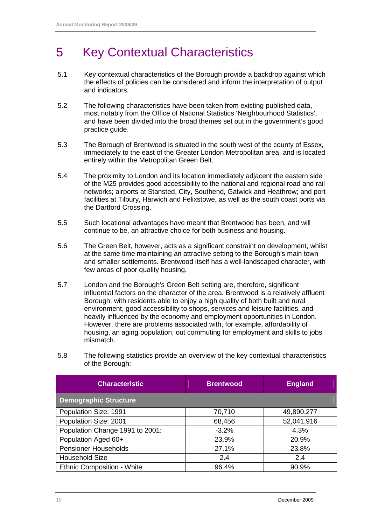# 5 Key Contextual Characteristics

- 5.1 Key contextual characteristics of the Borough provide a backdrop against which the effects of policies can be considered and inform the interpretation of output and indicators.
- 5.2 The following characteristics have been taken from existing published data, most notably from the Office of National Statistics 'Neighbourhood Statistics', and have been divided into the broad themes set out in the government's good practice guide.
- 5.3 The Borough of Brentwood is situated in the south west of the county of Essex, immediately to the east of the Greater London Metropolitan area, and is located entirely within the Metropolitan Green Belt.
- 5.4 The proximity to London and its location immediately adjacent the eastern side of the M25 provides good accessibility to the national and regional road and rail networks; airports at Stansted, City, Southend, Gatwick and Heathrow; and port facilities at Tilbury, Harwich and Felixstowe, as well as the south coast ports via the Dartford Crossing.
- 5.5 Such locational advantages have meant that Brentwood has been, and will continue to be, an attractive choice for both business and housing.
- 5.6 The Green Belt, however, acts as a significant constraint on development, whilst at the same time maintaining an attractive setting to the Borough's main town and smaller settlements. Brentwood itself has a well-landscaped character, with few areas of poor quality housing.
- 5.7 London and the Borough's Green Belt setting are, therefore, significant influential factors on the character of the area. Brentwood is a relatively affluent Borough, with residents able to enjoy a high quality of both built and rural environment, good accessibility to shops, services and leisure facilities, and heavily influenced by the economy and employment opportunities in London. However, there are problems associated with, for example, affordability of housing, an aging population, out commuting for employment and skills to jobs mismatch.
- 5.8 The following statistics provide an overview of the key contextual characteristics of the Borough:

| <b>Characteristic</b>             | <b>Brentwood</b> | <b>England</b> |
|-----------------------------------|------------------|----------------|
| <b>Demographic Structure</b>      |                  |                |
| Population Size: 1991             | 70,710           | 49,890,277     |
| Population Size: 2001             | 68,456           | 52,041,916     |
| Population Change 1991 to 2001:   | $-3.2%$          | 4.3%           |
| Population Aged 60+               | 23.9%            | 20.9%          |
| <b>Pensioner Households</b>       | 27.1%            | 23.8%          |
| <b>Household Size</b>             | 2.4              | 2.4            |
| <b>Ethnic Composition - White</b> | 96.4%            | 90.9%          |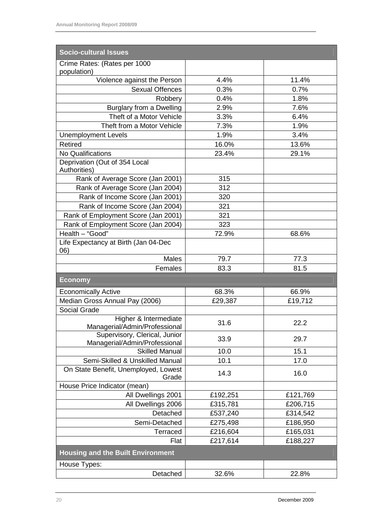| <b>Socio-cultural Issues</b>                                   |          |          |
|----------------------------------------------------------------|----------|----------|
| Crime Rates: (Rates per 1000<br>population)                    |          |          |
| Violence against the Person                                    | 4.4%     | 11.4%    |
| <b>Sexual Offences</b>                                         | 0.3%     | 0.7%     |
| Robbery                                                        | 0.4%     | 1.8%     |
| <b>Burglary from a Dwelling</b>                                | 2.9%     | 7.6%     |
| Theft of a Motor Vehicle                                       | 3.3%     | 6.4%     |
| Theft from a Motor Vehicle                                     | 7.3%     | 1.9%     |
| <b>Unemployment Levels</b>                                     | 1.9%     | 3.4%     |
| <b>Retired</b>                                                 | 16.0%    | 13.6%    |
| <b>No Qualifications</b>                                       | 23.4%    | 29.1%    |
| Deprivation (Out of 354 Local<br>Authorities)                  |          |          |
| Rank of Average Score (Jan 2001)                               | 315      |          |
| Rank of Average Score (Jan 2004)                               | 312      |          |
| Rank of Income Score (Jan 2001)                                | 320      |          |
| Rank of Income Score (Jan 2004)                                | 321      |          |
| Rank of Employment Score (Jan 2001)                            | 321      |          |
| Rank of Employment Score (Jan 2004)                            | 323      |          |
| Health - "Good"                                                | 72.9%    | 68.6%    |
| Life Expectancy at Birth (Jan 04-Dec<br>06)                    |          |          |
| <b>Males</b>                                                   | 79.7     | 77.3     |
| Females                                                        | 83.3     | 81.5     |
| <b>Economy</b>                                                 |          |          |
| <b>Economically Active</b>                                     | 68.3%    | 66.9%    |
| Median Gross Annual Pay (2006)                                 | £29,387  | £19,712  |
| Social Grade                                                   |          |          |
| Higher & Intermediate<br>Managerial/Admin/Professional         | 31.6     | 22.2     |
| Supervisory, Clerical, Junior<br>Managerial/Admin/Professional | 33.9     | 29.7     |
| <b>Skilled Manual</b>                                          | 10.0     | 15.1     |
| Semi-Skilled & Unskilled Manual                                | 10.1     | 17.0     |
| On State Benefit, Unemployed, Lowest<br>Grade                  | 14.3     | 16.0     |
| House Price Indicator (mean)                                   |          |          |
| All Dwellings 2001                                             | £192,251 | £121,769 |
| All Dwellings 2006                                             | £315,781 | £206,715 |
| Detached                                                       | £537,240 | £314,542 |
| Semi-Detached                                                  | £275,498 | £186,950 |
| Terraced                                                       | £216,604 | £165,031 |
| Flat                                                           | £217,614 | £188,227 |
| <b>Housing and the Built Environment</b>                       |          |          |
| House Types:                                                   |          |          |
| Detached                                                       | 32.6%    | 22.8%    |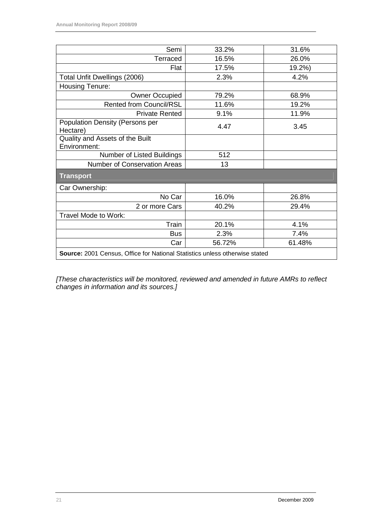| Semi                                                                        | 33.2%  | 31.6%  |  |  |  |
|-----------------------------------------------------------------------------|--------|--------|--|--|--|
| Terraced                                                                    | 16.5%  | 26.0%  |  |  |  |
| Flat                                                                        | 17.5%  | 19.2%) |  |  |  |
| Total Unfit Dwellings (2006)                                                | 2.3%   | 4.2%   |  |  |  |
| Housing Tenure:                                                             |        |        |  |  |  |
| <b>Owner Occupied</b>                                                       | 79.2%  | 68.9%  |  |  |  |
| <b>Rented from Council/RSL</b>                                              | 11.6%  | 19.2%  |  |  |  |
| <b>Private Rented</b>                                                       | 9.1%   | 11.9%  |  |  |  |
| Population Density (Persons per<br>Hectare)                                 | 4.47   | 3.45   |  |  |  |
| Quality and Assets of the Built<br>Environment:                             |        |        |  |  |  |
| Number of Listed Buildings                                                  | 512    |        |  |  |  |
| <b>Number of Conservation Areas</b>                                         | 13     |        |  |  |  |
| <b>Transport</b>                                                            |        |        |  |  |  |
| Car Ownership:                                                              |        |        |  |  |  |
| No Car                                                                      | 16.0%  | 26.8%  |  |  |  |
| 2 or more Cars                                                              | 40.2%  | 29.4%  |  |  |  |
| Travel Mode to Work:                                                        |        |        |  |  |  |
| Train                                                                       | 20.1%  | 4.1%   |  |  |  |
| <b>Bus</b>                                                                  | 2.3%   | 7.4%   |  |  |  |
| Car                                                                         | 56.72% | 61.48% |  |  |  |
| Source: 2001 Census, Office for National Statistics unless otherwise stated |        |        |  |  |  |

[These characteristics will be monitored, reviewed and amended in future AMRs to reflect changes in information and its sources.]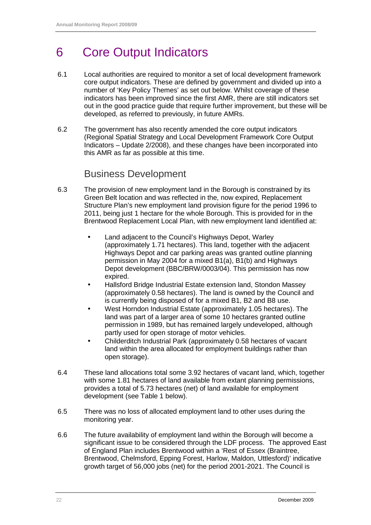# 6 Core Output Indicators

- 6.1 Local authorities are required to monitor a set of local development framework core output indicators. These are defined by government and divided up into a number of 'Key Policy Themes' as set out below. Whilst coverage of these indicators has been improved since the first AMR, there are still indicators set out in the good practice guide that require further improvement, but these will be developed, as referred to previously, in future AMRs.
- 6.2 The government has also recently amended the core output indicators (Regional Spatial Strategy and Local Development Framework Core Output Indicators – Update 2/2008), and these changes have been incorporated into this AMR as far as possible at this time.

#### Business Development

- 6.3 The provision of new employment land in the Borough is constrained by its Green Belt location and was reflected in the, now expired, Replacement Structure Plan's new employment land provision figure for the period 1996 to 2011, being just 1 hectare for the whole Borough. This is provided for in the Brentwood Replacement Local Plan, with new employment land identified at:
	- Land adjacent to the Council's Highways Depot, Warley (approximately 1.71 hectares). This land, together with the adjacent Highways Depot and car parking areas was granted outline planning permission in May 2004 for a mixed B1(a), B1(b) and Highways Depot development (BBC/BRW/0003/04). This permission has now expired.
	- Hallsford Bridge Industrial Estate extension land, Stondon Massey (approximately 0.58 hectares). The land is owned by the Council and is currently being disposed of for a mixed B1, B2 and B8 use.
	- West Horndon Industrial Estate (approximately 1.05 hectares). The land was part of a larger area of some 10 hectares granted outline permission in 1989, but has remained largely undeveloped, although partly used for open storage of motor vehicles.
	- Childerditch Industrial Park (approximately 0.58 hectares of vacant land within the area allocated for employment buildings rather than open storage).
- 6.4 These land allocations total some 3.92 hectares of vacant land, which, together with some 1.81 hectares of land available from extant planning permissions, provides a total of 5.73 hectares (net) of land available for employment development (see Table 1 below).
- 6.5 There was no loss of allocated employment land to other uses during the monitoring year.
- 6.6 The future availability of employment land within the Borough will become a significant issue to be considered through the LDF process. The approved East of England Plan includes Brentwood within a 'Rest of Essex (Braintree, Brentwood, Chelmsford, Epping Forest, Harlow, Maldon, Uttlesford)' indicative growth target of 56,000 jobs (net) for the period 2001-2021. The Council is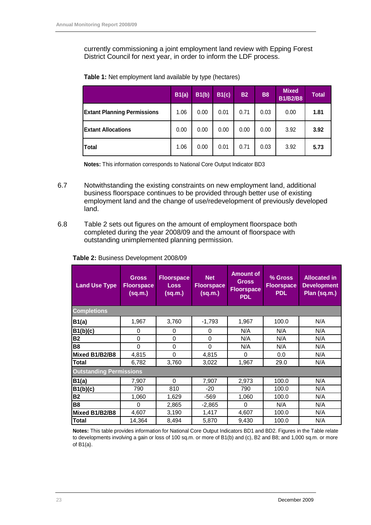currently commissioning a joint employment land review with Epping Forest District Council for next year, in order to inform the LDF process.

|                                    | B1(a) | B1(b) | B1(c) | <b>B2</b> | <b>B8</b> | <b>Mixed</b><br><b>B1/B2/B8</b> | <b>Total</b> |
|------------------------------------|-------|-------|-------|-----------|-----------|---------------------------------|--------------|
| <b>Extant Planning Permissions</b> | 1.06  | 0.00  | 0.01  | 0.71      | 0.03      | 0.00                            | 1.81         |
| <b>Extant Allocations</b>          | 0.00  | 0.00  | 0.00  | 0.00      | 0.00      | 3.92                            | 3.92         |
| Total                              | 1.06  | 0.00  | 0.01  | 0.71      | 0.03      | 3.92                            | 5.73         |

|  |  |  | Table 1: Net employment land available by type (hectares) |  |  |
|--|--|--|-----------------------------------------------------------|--|--|
|  |  |  |                                                           |  |  |

**Notes:** This information corresponds to National Core Output Indicator BD3

- 6.7 Notwithstanding the existing constraints on new employment land, additional business floorspace continues to be provided through better use of existing employment land and the change of use/redevelopment of previously developed land.
- 6.8 Table 2 sets out figures on the amount of employment floorspace both completed during the year 2008/09 and the amount of floorspace with outstanding unimplemented planning permission.

| <b>Land Use Type</b>           | <b>Gross</b><br><b>Floorspace</b><br>(sq.m.) | <b>Floorspace</b><br><b>Loss</b><br>(sq.m.) | <b>Amount of</b><br><b>Net</b><br><b>Gross</b><br><b>Floorspace</b><br><b>Floorspace</b><br>(sq.m.)<br><b>PDL</b> |       | % Gross<br><b>Floorspace</b><br><b>PDL</b> | <b>Allocated in</b><br><b>Development</b><br>Plan (sq.m.) |
|--------------------------------|----------------------------------------------|---------------------------------------------|-------------------------------------------------------------------------------------------------------------------|-------|--------------------------------------------|-----------------------------------------------------------|
| <b>Completions</b>             |                                              |                                             |                                                                                                                   |       |                                            |                                                           |
| B1(a)                          | 1,967                                        | 3,760                                       | $-1,793$                                                                                                          | 1,967 | 100.0                                      | N/A                                                       |
| B1(b)(c)                       | 0                                            | 0                                           | $\Omega$                                                                                                          | N/A   | N/A                                        | N/A                                                       |
| <b>B2</b>                      | $\mathbf 0$                                  | $\mathbf 0$                                 | $\mathbf 0$                                                                                                       | N/A   | N/A                                        | N/A                                                       |
| <b>B8</b>                      | $\Omega$                                     | $\mathbf{0}$                                | $\mathbf{0}$                                                                                                      | N/A   | N/A                                        | N/A                                                       |
| Mixed B1/B2/B8                 | 4,815                                        | 0                                           | 4,815                                                                                                             | 0     | 0.0                                        | N/A                                                       |
| <b>Total</b>                   | 6,782                                        | 3,760                                       | 3,022                                                                                                             | 1,967 | 29.0                                       | N/A                                                       |
| <b>Outstanding Permissions</b> |                                              |                                             |                                                                                                                   |       |                                            |                                                           |
| B1(a)                          | 7,907                                        | 0                                           | 7,907                                                                                                             | 2,973 | 100.0                                      | N/A                                                       |
| B1(b)(c)                       | 790                                          | 810                                         | $-20$                                                                                                             | 790   | 100.0                                      | N/A                                                       |
| <b>B2</b>                      | 1,060                                        | 1,629                                       | $-569$                                                                                                            | 1,060 | 100.0                                      | N/A                                                       |
| <b>B8</b>                      | $\mathbf 0$                                  | 2,865                                       | $-2,865$                                                                                                          | 0     | N/A                                        | N/A                                                       |
| Mixed B1/B2/B8                 | 4,607                                        | 3,190                                       | 1,417                                                                                                             | 4,607 | 100.0                                      | N/A                                                       |
| <b>Total</b>                   | 14,364                                       | 8,494                                       | 5,870                                                                                                             | 9,430 | 100.0                                      | N/A                                                       |

#### **Table 2:** Business Development 2008/09

**Notes:** This table provides information for National Core Output Indicators BD1 and BD2. Figures in the Table relate to developments involving a gain or loss of 100 sq.m. or more of B1(b) and (c), B2 and B8; and 1,000 sq.m. or more of B1(a).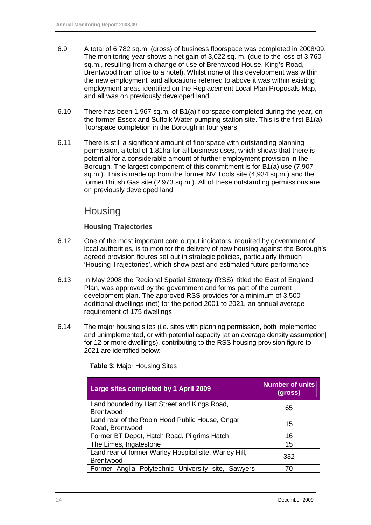- 6.9 A total of 6,782 sq.m. (gross) of business floorspace was completed in 2008/09. The monitoring year shows a net gain of 3,022 sq. m. (due to the loss of 3,760 sq.m., resulting from a change of use of Brentwood House, King's Road, Brentwood from office to a hotel). Whilst none of this development was within the new employment land allocations referred to above it was within existing employment areas identified on the Replacement Local Plan Proposals Map, and all was on previously developed land.
- 6.10 There has been 1,967 sq.m. of B1(a) floorspace completed during the year, on the former Essex and Suffolk Water pumping station site. This is the first B1(a) floorspace completion in the Borough in four years.
- 6.11 There is still a significant amount of floorspace with outstanding planning permission, a total of 1.81ha for all business uses, which shows that there is potential for a considerable amount of further employment provision in the Borough. The largest component of this commitment is for B1(a) use (7,907 sq.m.). This is made up from the former NV Tools site (4,934 sq.m.) and the former British Gas site (2,973 sq.m.). All of these outstanding permissions are on previously developed land.

### **Housing**

#### **Housing Trajectories**

- 6.12 One of the most important core output indicators, required by government of local authorities, is to monitor the delivery of new housing against the Borough's agreed provision figures set out in strategic policies, particularly through 'Housing Trajectories', which show past and estimated future performance.
- 6.13 In May 2008 the Regional Spatial Strategy (RSS), titled the East of England Plan, was approved by the government and forms part of the current development plan. The approved RSS provides for a minimum of 3,500 additional dwellings (net) for the period 2001 to 2021, an annual average requirement of 175 dwellings.
- 6.14 The major housing sites (i.e. sites with planning permission, both implemented and unimplemented, or with potential capacity [at an average density assumption] for 12 or more dwellings), contributing to the RSS housing provision figure to 2021 are identified below:

| Large sites completed by 1 April 2009                                      | <b>Number of units</b><br>(gross) |
|----------------------------------------------------------------------------|-----------------------------------|
| Land bounded by Hart Street and Kings Road,<br><b>Brentwood</b>            | 65                                |
| Land rear of the Robin Hood Public House, Ongar<br>Road, Brentwood         | 15                                |
| Former BT Depot, Hatch Road, Pilgrims Hatch                                | 16                                |
| The Limes, Ingatestone                                                     | 15                                |
| Land rear of former Warley Hospital site, Warley Hill,<br><b>Brentwood</b> | 332                               |
| Former Anglia Polytechnic University site, Sawyers                         | 70                                |

**Table 3**: Major Housing Sites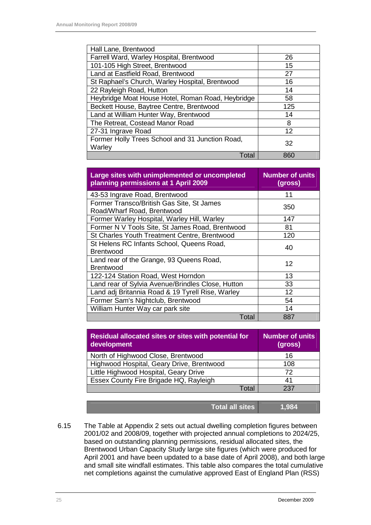| Hall Lane, Brentwood                              |     |
|---------------------------------------------------|-----|
| Farrell Ward, Warley Hospital, Brentwood          | 26  |
| 101-105 High Street, Brentwood                    | 15  |
| Land at Eastfield Road, Brentwood                 | 27  |
| St Raphael's Church, Warley Hospital, Brentwood   | 16  |
| 22 Rayleigh Road, Hutton                          | 14  |
| Heybridge Moat House Hotel, Roman Road, Heybridge | 58  |
| Beckett House, Baytree Centre, Brentwood          | 125 |
| Land at William Hunter Way, Brentwood             | 14  |
| The Retreat, Costead Manor Road                   | 8   |
| 27-31 Ingrave Road                                | 12  |
| Former Holly Trees School and 31 Junction Road,   | 32  |
| Warley                                            |     |
| Total                                             | 860 |

| Large sites with unimplemented or uncompleted<br>planning permissions at 1 April 2009 | <b>Number of units</b><br>(gross) |
|---------------------------------------------------------------------------------------|-----------------------------------|
| 43-53 Ingrave Road, Brentwood                                                         | 11                                |
| Former Transco/British Gas Site, St James<br>Road/Wharf Road, Brentwood               | 350                               |
| Former Warley Hospital, Warley Hill, Warley                                           | 147                               |
| Former N V Tools Site, St James Road, Brentwood                                       | 81                                |
| St Charles Youth Treatment Centre, Brentwood                                          | 120                               |
| St Helens RC Infants School, Queens Road,<br>Brentwood                                | 40                                |
| Land rear of the Grange, 93 Queens Road,<br><b>Brentwood</b>                          | 12                                |
| 122-124 Station Road, West Horndon                                                    | 13                                |
| Land rear of Sylvia Avenue/Brindles Close, Hutton                                     | 33                                |
| Land adj Britannia Road & 19 Tyrell Rise, Warley                                      | 12                                |
| Former Sam's Nightclub, Brentwood                                                     | 54                                |
| William Hunter Way car park site                                                      | 14                                |
| Total                                                                                 | 887                               |

| <b>Number of units</b><br>(gross) |
|-----------------------------------|
| 16                                |
| 108                               |
| 72                                |
| 41                                |
| 237                               |
|                                   |

| Total all sites<br>1,984 |
|--------------------------|
|--------------------------|

6.15 The Table at Appendix 2 sets out actual dwelling completion figures between 2001/02 and 2008/09, together with projected annual completions to 2024/25, based on outstanding planning permissions, residual allocated sites, the Brentwood Urban Capacity Study large site figures (which were produced for April 2001 and have been updated to a base date of April 2008), and both large and small site windfall estimates. This table also compares the total cumulative net completions against the cumulative approved East of England Plan (RSS)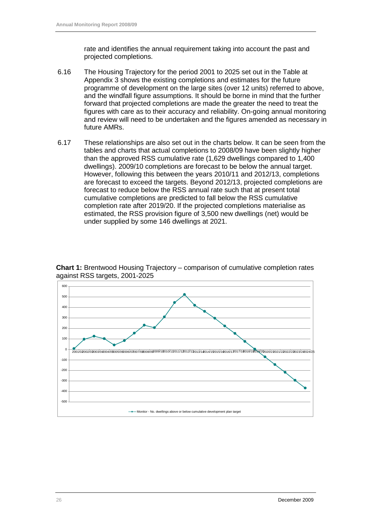rate and identifies the annual requirement taking into account the past and projected completions.

- 6.16 The Housing Trajectory for the period 2001 to 2025 set out in the Table at Appendix 3 shows the existing completions and estimates for the future programme of development on the large sites (over 12 units) referred to above, and the windfall figure assumptions. It should be borne in mind that the further forward that projected completions are made the greater the need to treat the figures with care as to their accuracy and reliability. On-going annual monitoring and review will need to be undertaken and the figures amended as necessary in future AMRs.
- 6.17 These relationships are also set out in the charts below. It can be seen from the tables and charts that actual completions to 2008/09 have been slightly higher than the approved RSS cumulative rate (1,629 dwellings compared to 1,400 dwellings). 2009/10 completions are forecast to be below the annual target. However, following this between the years 2010/11 and 2012/13, completions are forecast to exceed the targets. Beyond 2012/13, projected completions are forecast to reduce below the RSS annual rate such that at present total cumulative completions are predicted to fall below the RSS cumulative completion rate after 2019/20. If the projected completions materialise as estimated, the RSS provision figure of 3,500 new dwellings (net) would be under supplied by some 146 dwellings at 2021.



**Chart 1:** Brentwood Housing Trajectory – comparison of cumulative completion rates against RSS targets, 2001-2025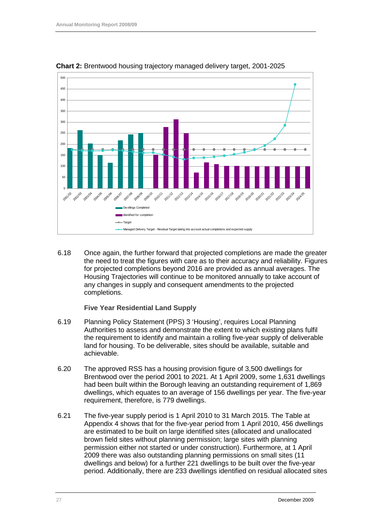

**Chart 2:** Brentwood housing trajectory managed delivery target, 2001-2025

6.18 Once again, the further forward that projected completions are made the greater the need to treat the figures with care as to their accuracy and reliability. Figures for projected completions beyond 2016 are provided as annual averages. The Housing Trajectories will continue to be monitored annually to take account of any changes in supply and consequent amendments to the projected completions.

#### **Five Year Residential Land Supply**

- 6.19 Planning Policy Statement (PPS) 3 'Housing', requires Local Planning Authorities to assess and demonstrate the extent to which existing plans fulfil the requirement to identify and maintain a rolling five-year supply of deliverable land for housing. To be deliverable, sites should be available, suitable and achievable.
- 6.20 The approved RSS has a housing provision figure of 3,500 dwellings for Brentwood over the period 2001 to 2021. At 1 April 2009, some 1,631 dwellings had been built within the Borough leaving an outstanding requirement of 1,869 dwellings, which equates to an average of 156 dwellings per year. The five-year requirement, therefore, is 779 dwellings.
- 6.21 The five-year supply period is 1 April 2010 to 31 March 2015. The Table at Appendix 4 shows that for the five-year period from 1 April 2010, 456 dwellings are estimated to be built on large identified sites (allocated and unallocated brown field sites without planning permission; large sites with planning permission either not started or under construction). Furthermore, at 1 April 2009 there was also outstanding planning permissions on small sites (11 dwellings and below) for a further 221 dwellings to be built over the five-year period. Additionally, there are 233 dwellings identified on residual allocated sites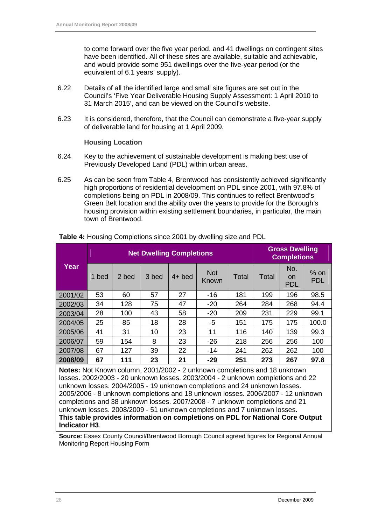to come forward over the five year period, and 41 dwellings on contingent sites have been identified. All of these sites are available, suitable and achievable, and would provide some 951 dwellings over the five-year period (or the equivalent of 6.1 years' supply).

- 6.22 Details of all the identified large and small site figures are set out in the Council's 'Five Year Deliverable Housing Supply Assessment: 1 April 2010 to 31 March 2015', and can be viewed on the Council's website.
- 6.23 It is considered, therefore, that the Council can demonstrate a five-year supply of deliverable land for housing at 1 April 2009.

#### **Housing Location**

- 6.24 Key to the achievement of sustainable development is making best use of Previously Developed Land (PDL) within urban areas.
- 6.25 As can be seen from Table 4, Brentwood has consistently achieved significantly high proportions of residential development on PDL since 2001, with 97.8% of completions being on PDL in 2008/09. This continues to reflect Brentwood's Green Belt location and the ability over the years to provide for the Borough's housing provision within existing settlement boundaries, in particular, the main town of Brentwood.

|                                                                                                                                                                                                                                                                                                                                                                                                            | <b>Net Dwelling Completions</b> |       |       |          |                     |       |       | <b>Gross Dwelling</b><br><b>Completions</b> |                      |  |
|------------------------------------------------------------------------------------------------------------------------------------------------------------------------------------------------------------------------------------------------------------------------------------------------------------------------------------------------------------------------------------------------------------|---------------------------------|-------|-------|----------|---------------------|-------|-------|---------------------------------------------|----------------------|--|
| Year                                                                                                                                                                                                                                                                                                                                                                                                       | 1 bed                           | 2 bed | 3 bed | $4+$ bed | <b>Not</b><br>Known | Total | Total | No.<br><b>on</b><br><b>PDL</b>              | $%$ on<br><b>PDL</b> |  |
| 2001/02                                                                                                                                                                                                                                                                                                                                                                                                    | 53                              | 60    | 57    | 27       | $-16$               | 181   | 199   | 196                                         | 98.5                 |  |
| 2002/03                                                                                                                                                                                                                                                                                                                                                                                                    | 34                              | 128   | 75    | 47       | $-20$               | 264   | 284   | 268                                         | 94.4                 |  |
| 2003/04                                                                                                                                                                                                                                                                                                                                                                                                    | 28                              | 100   | 43    | 58       | $-20$               | 209   | 231   | 229                                         | 99.1                 |  |
| 2004/05                                                                                                                                                                                                                                                                                                                                                                                                    | 25                              | 85    | 18    | 28       | -5                  | 151   | 175   | 175                                         | 100.0                |  |
| 2005/06                                                                                                                                                                                                                                                                                                                                                                                                    | 41                              | 31    | 10    | 23       | 11                  | 116   | 140   | 139                                         | 99.3                 |  |
| 2006/07                                                                                                                                                                                                                                                                                                                                                                                                    | 59                              | 154   | 8     | 23       | $-26$               | 218   | 256   | 256                                         | 100                  |  |
| 2007/08                                                                                                                                                                                                                                                                                                                                                                                                    | 67                              | 127   | 39    | 22       | -14                 | 241   | 262   | 262                                         | 100                  |  |
| 2008/09                                                                                                                                                                                                                                                                                                                                                                                                    | 67                              | 111   | 23    | 21       | $-29$               | 251   | 273   | 267                                         | 97.8                 |  |
| Notes: Not Known column, 2001/2002 - 2 unknown completions and 18 unknown<br>losses. 2002/2003 - 20 unknown losses. 2003/2004 - 2 unknown completions and 22<br>unknown losses. 2004/2005 - 19 unknown completions and 24 unknown losses.<br>2005/2006 - 8 unknown completions and 18 unknown losses. 2006/2007 - 12 unknown<br>completions and 38 unknown losses 2007/2008 - 7 unknown completions and 21 |                                 |       |       |          |                     |       |       |                                             |                      |  |

**Table 4:** Housing Completions since 2001 by dwelling size and PDL

completions and 38 unknown losses. 2007/2008 - 7 unknown completions and 21 unknown losses. 2008/2009 - 51 unknown completions and 7 unknown losses. **This table provides information on completions on PDL for National Core Output Indicator H3**.

**Source:** Essex County Council/Brentwood Borough Council agreed figures for Regional Annual Monitoring Report Housing Form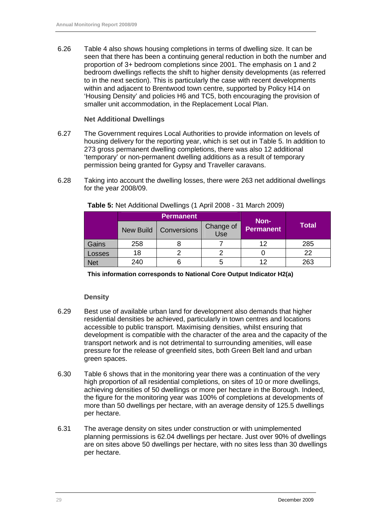6.26 Table 4 also shows housing completions in terms of dwelling size. It can be seen that there has been a continuing general reduction in both the number and proportion of 3+ bedroom completions since 2001. The emphasis on 1 and 2 bedroom dwellings reflects the shift to higher density developments (as referred to in the next section). This is particularly the case with recent developments within and adjacent to Brentwood town centre, supported by Policy H14 on 'Housing Density' and policies H6 and TC5, both encouraging the provision of smaller unit accommodation, in the Replacement Local Plan.

#### **Net Additional Dwellings**

- 6.27 The Government requires Local Authorities to provide information on levels of housing delivery for the reporting year, which is set out in Table 5. In addition to 273 gross permanent dwelling completions, there was also 12 additional 'temporary' or non-permanent dwelling additions as a result of temporary permission being granted for Gypsy and Traveller caravans.
- 6.28 Taking into account the dwelling losses, there were 263 net additional dwellings for the year 2008/09.

|            |                                        | <b>Permanent</b> | Non-             | <b>Total</b> |     |
|------------|----------------------------------------|------------------|------------------|--------------|-----|
|            | <b>New Build</b><br><b>Conversions</b> |                  | Change of<br>Use |              |     |
| Gains      | 258                                    |                  |                  | 12           | 285 |
| Losses     | 18                                     |                  |                  |              | 22  |
| <b>Net</b> | 240                                    |                  |                  | 12           | 263 |

**Table 5:** Net Additional Dwellings (1 April 2008 - 31 March 2009)

**This information corresponds to National Core Output Indicator H2(a)** 

#### **Density**

- 6.29 Best use of available urban land for development also demands that higher residential densities be achieved, particularly in town centres and locations accessible to public transport. Maximising densities, whilst ensuring that development is compatible with the character of the area and the capacity of the transport network and is not detrimental to surrounding amenities, will ease pressure for the release of greenfield sites, both Green Belt land and urban green spaces.
- 6.30 Table 6 shows that in the monitoring year there was a continuation of the very high proportion of all residential completions, on sites of 10 or more dwellings, achieving densities of 50 dwellings or more per hectare in the Borough. Indeed, the figure for the monitoring year was 100% of completions at developments of more than 50 dwellings per hectare, with an average density of 125.5 dwellings per hectare.
- 6.31 The average density on sites under construction or with unimplemented planning permissions is 62.04 dwellings per hectare. Just over 90% of dwellings are on sites above 50 dwellings per hectare, with no sites less than 30 dwellings per hectare.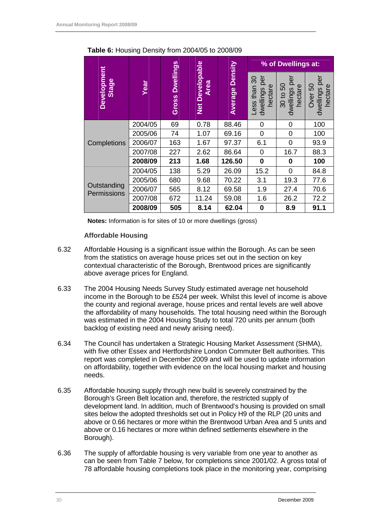|                            |         |                           |                                       |                    | % of Dwellings at:                               |                                                          |                                           |
|----------------------------|---------|---------------------------|---------------------------------------|--------------------|--------------------------------------------------|----------------------------------------------------------|-------------------------------------------|
| Development<br>Stage       | Year    | <b>Dwellings</b><br>Gross | <b>Net Developable</b><br><b>Area</b> | Density<br>Average | per<br>ౚ<br>hectare<br>than<br>dwellings<br>Less | <u>ବ</u><br><u>င</u> ္တ<br>hectare<br>dwellings<br>30 to | per<br>ნე<br>hectare<br>dwellings<br>Over |
|                            | 2004/05 | 69                        | 0.78                                  | 88.46              | 0                                                | 0                                                        | 100                                       |
|                            | 2005/06 | 74                        | 1.07                                  | 69.16              | 0                                                | $\mathbf 0$                                              | 100                                       |
| Completions                | 2006/07 | 163                       | 1.67                                  | 97.37              | 6.1                                              | $\overline{0}$                                           | 93.9                                      |
|                            | 2007/08 | 227                       | 2.62                                  | 86.64              | 0                                                | 16.7                                                     | 88.3                                      |
|                            | 2008/09 | 213                       | 1.68                                  | 126.50             | $\mathbf 0$                                      | 0                                                        | 100                                       |
|                            | 2004/05 | 138                       | 5.29                                  | 26.09              | 15.2                                             | 0                                                        | 84.8                                      |
| Outstanding<br>Permissions | 2005/06 | 680                       | 9.68                                  | 70.22              | 3.1                                              | 19.3                                                     | 77.6                                      |
|                            | 2006/07 | 565                       | 8.12                                  | 69.58              | 1.9                                              | 27.4                                                     | 70.6                                      |
|                            | 2007/08 | 672                       | 11.24                                 | 59.08              | 1.6                                              | 26.2                                                     | 72.2                                      |
|                            | 2008/09 | 505                       | 8.14                                  | 62.04              | $\bf{0}$                                         | 8.9                                                      | 91.1                                      |

**Table 6:** Housing Density from 2004/05 to 2008/09

**Notes:** Information is for sites of 10 or more dwellings (gross)

#### **Affordable Housing**

- 6.32 Affordable Housing is a significant issue within the Borough. As can be seen from the statistics on average house prices set out in the section on key contextual characteristic of the Borough, Brentwood prices are significantly above average prices for England.
- 6.33 The 2004 Housing Needs Survey Study estimated average net household income in the Borough to be £524 per week. Whilst this level of income is above the county and regional average, house prices and rental levels are well above the affordability of many households. The total housing need within the Borough was estimated in the 2004 Housing Study to total 720 units per annum (both backlog of existing need and newly arising need).
- 6.34 The Council has undertaken a Strategic Housing Market Assessment (SHMA), with five other Essex and Hertfordshire London Commuter Belt authorities. This report was completed in December 2009 and will be used to update information on affordability, together with evidence on the local housing market and housing needs.
- 6.35 Affordable housing supply through new build is severely constrained by the Borough's Green Belt location and, therefore, the restricted supply of development land. In addition, much of Brentwood's housing is provided on small sites below the adopted thresholds set out in Policy H9 of the RLP (20 units and above or 0.66 hectares or more within the Brentwood Urban Area and 5 units and above or 0.16 hectares or more within defined settlements elsewhere in the Borough).
- 6.36 The supply of affordable housing is very variable from one year to another as can be seen from Table 7 below, for completions since 2001/02. A gross total of 78 affordable housing completions took place in the monitoring year, comprising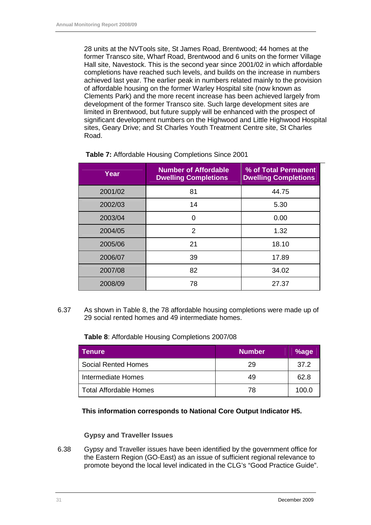28 units at the NVTools site, St James Road, Brentwood; 44 homes at the former Transco site, Wharf Road, Brentwood and 6 units on the former Village Hall site, Navestock. This is the second year since 2001/02 in which affordable completions have reached such levels, and builds on the increase in numbers achieved last year. The earlier peak in numbers related mainly to the provision of affordable housing on the former Warley Hospital site (now known as Clements Park) and the more recent increase has been achieved largely from development of the former Transco site. Such large development sites are limited in Brentwood, but future supply will be enhanced with the prospect of significant development numbers on the Highwood and Little Highwood Hospital sites, Geary Drive; and St Charles Youth Treatment Centre site, St Charles Road.

| Year    | <b>Number of Affordable</b><br><b>Dwelling Completions</b> | % of Total Permanent<br><b>Dwelling Completions</b> |
|---------|------------------------------------------------------------|-----------------------------------------------------|
| 2001/02 | 81                                                         | 44.75                                               |
| 2002/03 | 14                                                         | 5.30                                                |
| 2003/04 | U                                                          | 0.00                                                |
| 2004/05 | 2                                                          | 1.32                                                |
| 2005/06 | 21                                                         | 18.10                                               |
| 2006/07 | 39                                                         | 17.89                                               |
| 2007/08 | 82                                                         | 34.02                                               |
| 2008/09 | 78                                                         | 27.37                                               |

6.37 As shown in Table 8, the 78 affordable housing completions were made up of 29 social rented homes and 49 intermediate homes.

**Table 8**: Affordable Housing Completions 2007/08

| <b>Tenure</b>                 | <b>Number</b> | %age  |
|-------------------------------|---------------|-------|
| <b>Social Rented Homes</b>    | 29            | 37.2  |
| Intermediate Homes            | 49            | 62.8  |
| <b>Total Affordable Homes</b> | 78            | 100.0 |

**This information corresponds to National Core Output Indicator H5.** 

#### **Gypsy and Traveller Issues**

6.38 Gypsy and Traveller issues have been identified by the government office for the Eastern Region (GO-East) as an issue of sufficient regional relevance to promote beyond the local level indicated in the CLG's "Good Practice Guide".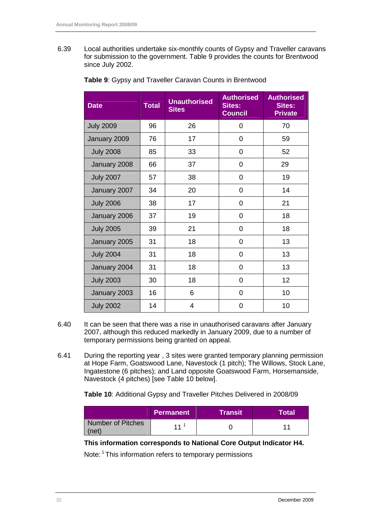6.39 Local authorities undertake six-monthly counts of Gypsy and Traveller caravans for submission to the government. Table 9 provides the counts for Brentwood since July 2002.

| <b>Date</b>      | <b>Total</b> | <b>Unauthorised</b><br><b>Sites</b> | <b>Authorised</b><br><b>Sites:</b><br><b>Council</b> | <b>Authorised</b><br><b>Sites:</b><br><b>Private</b> |
|------------------|--------------|-------------------------------------|------------------------------------------------------|------------------------------------------------------|
| <b>July 2009</b> | 96           | 26                                  | 0                                                    | 70                                                   |
| January 2009     | 76           | 17                                  | 0                                                    | 59                                                   |
| <b>July 2008</b> | 85           | 33                                  | 0                                                    | 52                                                   |
| January 2008     | 66           | 37                                  | 0                                                    | 29                                                   |
| <b>July 2007</b> | 57           | 38                                  | 0                                                    | 19                                                   |
| January 2007     | 34           | 20                                  | 0                                                    | 14                                                   |
| <b>July 2006</b> | 38           | 17                                  | 0                                                    | 21                                                   |
| January 2006     | 37           | 19                                  | 0                                                    | 18                                                   |
| <b>July 2005</b> | 39           | 21                                  | 0                                                    | 18                                                   |
| January 2005     | 31           | 18                                  | $\Omega$                                             | 13                                                   |
| <b>July 2004</b> | 31           | 18                                  | 0                                                    | 13                                                   |
| January 2004     | 31           | 18                                  | 0                                                    | 13                                                   |
| <b>July 2003</b> | 30           | 18                                  | 0                                                    | 12 <sub>2</sub>                                      |
| January 2003     | 16           | 6                                   | 0                                                    | 10                                                   |
| <b>July 2002</b> | 14           | 4                                   | 0                                                    | 10                                                   |

**Table 9**: Gypsy and Traveller Caravan Counts in Brentwood

- 6.40 It can be seen that there was a rise in unauthorised caravans after January 2007, although this reduced markedly in January 2009, due to a number of temporary permissions being granted on appeal.
- 6.41 During the reporting year , 3 sites were granted temporary planning permission at Hope Farm, Goatswood Lane, Navestock (1 pitch); The Willows, Stock Lane, Ingatestone (6 pitches); and Land opposite Goatswood Farm, Horsemanside, Navestock (4 pitches) [see Table 10 below].

**Table 10**: Additional Gypsy and Traveller Pitches Delivered in 2008/09

|                           | <b>Permanent</b> | ∖Transit | Totall |
|---------------------------|------------------|----------|--------|
| Number of Pitches<br>net) |                  |          |        |

**This information corresponds to National Core Output Indicator H4.** 

Note: <sup>1</sup> This information refers to temporary permissions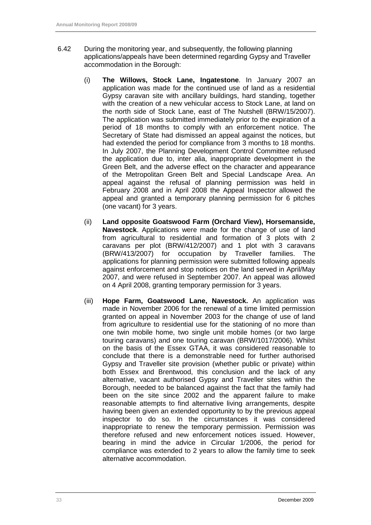- 6.42 During the monitoring year, and subsequently, the following planning applications/appeals have been determined regarding Gypsy and Traveller accommodation in the Borough:
	- (i) **The Willows, Stock Lane, Ingatestone**. In January 2007 an application was made for the continued use of land as a residential Gypsy caravan site with ancillary buildings, hard standing, together with the creation of a new vehicular access to Stock Lane, at land on the north side of Stock Lane, east of The Nutshell (BRW/15/2007). The application was submitted immediately prior to the expiration of a period of 18 months to comply with an enforcement notice. The Secretary of State had dismissed an appeal against the notices, but had extended the period for compliance from 3 months to 18 months. In July 2007, the Planning Development Control Committee refused the application due to, inter alia, inappropriate development in the Green Belt, and the adverse effect on the character and appearance of the Metropolitan Green Belt and Special Landscape Area. An appeal against the refusal of planning permission was held in February 2008 and in April 2008 the Appeal Inspector allowed the appeal and granted a temporary planning permission for 6 pitches (one vacant) for 3 years.
	- (ii) **Land opposite Goatswood Farm (Orchard View), Horsemanside, Navestock**. Applications were made for the change of use of land from agricultural to residential and formation of 3 plots with 2 caravans per plot (BRW/412/2007) and 1 plot with 3 caravans (BRW/413/2007) for occupation by Traveller families. The applications for planning permission were submitted following appeals against enforcement and stop notices on the land served in April/May 2007, and were refused in September 2007. An appeal was allowed on 4 April 2008, granting temporary permission for 3 years.
	- (iii) **Hope Farm, Goatswood Lane, Navestock.** An application was made in November 2006 for the renewal of a time limited permission granted on appeal in November 2003 for the change of use of land from agriculture to residential use for the stationing of no more than one twin mobile home, two single unit mobile homes (or two large touring caravans) and one touring caravan (BRW/1017/2006). Whilst on the basis of the Essex GTAA, it was considered reasonable to conclude that there is a demonstrable need for further authorised Gypsy and Traveller site provision (whether public or private) within both Essex and Brentwood, this conclusion and the lack of any alternative, vacant authorised Gypsy and Traveller sites within the Borough, needed to be balanced against the fact that the family had been on the site since 2002 and the apparent failure to make reasonable attempts to find alternative living arrangements, despite having been given an extended opportunity to by the previous appeal inspector to do so. In the circumstances it was considered inappropriate to renew the temporary permission. Permission was therefore refused and new enforcement notices issued. However, bearing in mind the advice in Circular 1/2006, the period for compliance was extended to 2 years to allow the family time to seek alternative accommodation.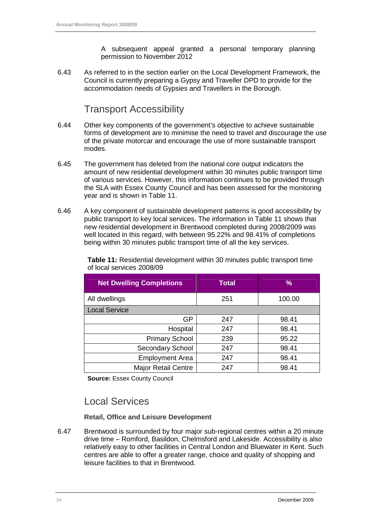A subsequent appeal granted a personal temporary planning permission to November 2012

6.43 As referred to in the section earlier on the Local Development Framework, the Council is currently preparing a Gypsy and Traveller DPD to provide for the accommodation needs of Gypsies and Travellers in the Borough.

#### Transport Accessibility

- 6.44 Other key components of the government's objective to achieve sustainable forms of development are to minimise the need to travel and discourage the use of the private motorcar and encourage the use of more sustainable transport modes.
- 6.45 The government has deleted from the national core output indicators the amount of new residential development within 30 minutes public transport time of various services. However, this information continues to be provided through the SLA with Essex County Council and has been assessed for the monitoring year and is shown in Table 11.
- 6.46 A key component of sustainable development patterns is good accessibility by public transport to key local services. The information in Table 11 shows that new residential development in Brentwood completed during 2008/2009 was well located in this regard, with between 95.22% and 98.41% of completions being within 30 minutes public transport time of all the key services.

| <b>Net Dwelling Completions</b> | <b>Total</b> | $\%$   |
|---------------------------------|--------------|--------|
| All dwellings                   | 251          | 100.00 |
| <b>Local Service</b>            |              |        |
| <b>GP</b>                       | 247          | 98.41  |
| Hospital                        | 247          | 98.41  |
| <b>Primary School</b>           | 239          | 95.22  |
| <b>Secondary School</b>         | 247          | 98.41  |
| <b>Employment Area</b>          | 247          | 98.41  |
| <b>Major Retail Centre</b>      | 247          | 98.41  |

**Table 11:** Residential development within 30 minutes public transport time of local services 2008/09

**Source:** Essex County Council

### Local Services

**Retail, Office and Leisure Development** 

6.47 Brentwood is surrounded by four major sub-regional centres within a 20 minute drive time – Romford, Basildon, Chelmsford and Lakeside. Accessibility is also relatively easy to other facilities in Central London and Bluewater in Kent. Such centres are able to offer a greater range, choice and quality of shopping and leisure facilities to that in Brentwood.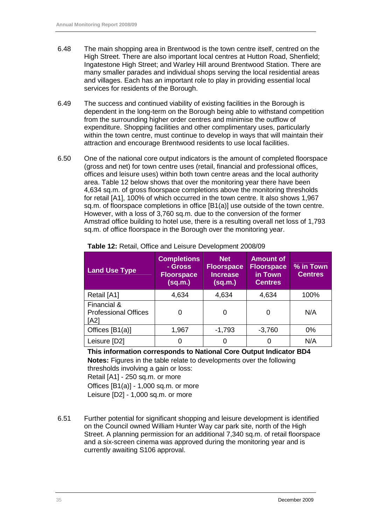- 6.48 The main shopping area in Brentwood is the town centre itself, centred on the High Street. There are also important local centres at Hutton Road, Shenfield; Ingatestone High Street; and Warley Hill around Brentwood Station. There are many smaller parades and individual shops serving the local residential areas and villages. Each has an important role to play in providing essential local services for residents of the Borough.
- 6.49 The success and continued viability of existing facilities in the Borough is dependent in the long-term on the Borough being able to withstand competition from the surrounding higher order centres and minimise the outflow of expenditure. Shopping facilities and other complimentary uses, particularly within the town centre, must continue to develop in ways that will maintain their attraction and encourage Brentwood residents to use local facilities.
- 6.50 One of the national core output indicators is the amount of completed floorspace (gross and net) for town centre uses (retail, financial and professional offices, offices and leisure uses) within both town centre areas and the local authority area. Table 12 below shows that over the monitoring year there have been 4,634 sq.m. of gross floorspace completions above the monitoring thresholds for retail [A1], 100% of which occurred in the town centre. It also shows 1,967 sq.m. of floorspace completions in office [B1(a)] use outside of the town centre. However, with a loss of 3,760 sq.m. due to the conversion of the former Amstrad office building to hotel use, there is a resulting overall net loss of 1,793 sq.m. of office floorspace in the Borough over the monitoring year.

| <b>Land Use Type</b>                               | <b>Completions</b><br>- Gross<br><b>Floorspace</b><br>(sq.m.) | <b>Net</b><br><b>Floorspace</b><br><b>Increase</b><br>(sq.m.) | <b>Amount of</b><br><b>Floorspace</b><br>in Town<br><b>Centres</b> | % in Town<br><b>Centres</b> |
|----------------------------------------------------|---------------------------------------------------------------|---------------------------------------------------------------|--------------------------------------------------------------------|-----------------------------|
| Retail [A1]                                        | 4,634                                                         | 4,634                                                         | 4,634                                                              | 100%                        |
| Financial &<br><b>Professional Offices</b><br>[A2] |                                                               | 0                                                             |                                                                    | N/A                         |
| Offices [B1(a)]                                    | 1,967                                                         | $-1,793$                                                      | $-3,760$                                                           | 0%                          |
| Leisure [D2]                                       |                                                               | 0                                                             | O                                                                  | N/A                         |

**Table 12:** Retail, Office and Leisure Development 2008/09

**This information corresponds to National Core Output Indicator BD4 Notes:** Figures in the table relate to developments over the following

thresholds involving a gain or loss: Retail [A1] - 250 sq.m. or more Offices [B1(a)] - 1,000 sq.m. or more

Leisure [D2] - 1,000 sq.m. or more

6.51 Further potential for significant shopping and leisure development is identified on the Council owned William Hunter Way car park site, north of the High Street. A planning permission for an additional 7,340 sq.m. of retail floorspace and a six-screen cinema was approved during the monitoring year and is currently awaiting S106 approval.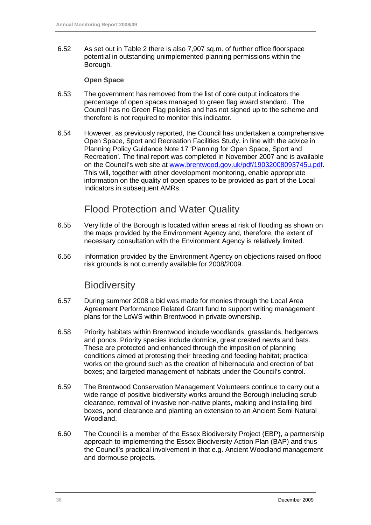6.52 As set out in Table 2 there is also 7,907 sq.m. of further office floorspace potential in outstanding unimplemented planning permissions within the Borough.

#### **Open Space**

- 6.53 The government has removed from the list of core output indicators the percentage of open spaces managed to green flag award standard. The Council has no Green Flag policies and has not signed up to the scheme and therefore is not required to monitor this indicator.
- 6.54 However, as previously reported, the Council has undertaken a comprehensive Open Space, Sport and Recreation Facilities Study, in line with the advice in Planning Policy Guidance Note 17 'Planning for Open Space, Sport and Recreation'. The final report was completed in November 2007 and is available on the Council's web site at www.brentwood.gov.uk/pdf/19032008093745u.pdf. This will, together with other development monitoring, enable appropriate information on the quality of open spaces to be provided as part of the Local Indicators in subsequent AMRs.

#### Flood Protection and Water Quality

- 6.55 Very little of the Borough is located within areas at risk of flooding as shown on the maps provided by the Environment Agency and, therefore, the extent of necessary consultation with the Environment Agency is relatively limited.
- 6.56 Information provided by the Environment Agency on objections raised on flood risk grounds is not currently available for 2008/2009.

### Biodiversity

- 6.57 During summer 2008 a bid was made for monies through the Local Area Agreement Performance Related Grant fund to support writing management plans for the LoWS within Brentwood in private ownership.
- 6.58 Priority habitats within Brentwood include woodlands, grasslands, hedgerows and ponds. Priority species include dormice, great crested newts and bats. These are protected and enhanced through the imposition of planning conditions aimed at protesting their breeding and feeding habitat; practical works on the ground such as the creation of hibernacula and erection of bat boxes; and targeted management of habitats under the Council's control.
- 6.59 The Brentwood Conservation Management Volunteers continue to carry out a wide range of positive biodiversity works around the Borough including scrub clearance, removal of invasive non-native plants, making and installing bird boxes, pond clearance and planting an extension to an Ancient Semi Natural Woodland.
- 6.60 The Council is a member of the Essex Biodiversity Project (EBP), a partnership approach to implementing the Essex Biodiversity Action Plan (BAP) and thus the Council's practical involvement in that e.g. Ancient Woodland management and dormouse projects.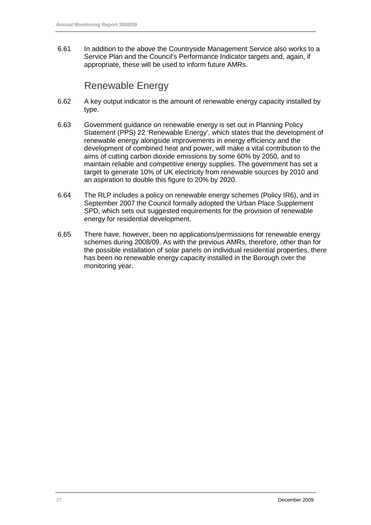6.61 In addition to the above the Countryside Management Service also works to a Service Plan and the Council's Performance Indicator targets and, again, if appropriate, these will be used to inform future AMRs.

### Renewable Energy

- 6.62 A key output indicator is the amount of renewable energy capacity installed by type.
- 6.63 Government guidance on renewable energy is set out in Planning Policy Statement (PPS) 22 'Renewable Energy', which states that the development of renewable energy alongside improvements in energy efficiency and the development of combined heat and power, will make a vital contribution to the aims of cutting carbon dioxide emissions by some 60% by 2050, and to maintain reliable and competitive energy supplies. The government has set a target to generate 10% of UK electricity from renewable sources by 2010 and an aspiration to double this figure to 20% by 2020.
- 6.64 The RLP includes a policy on renewable energy schemes (Policy IR6), and in September 2007 the Council formally adopted the Urban Place Supplement SPD, which sets out suggested requirements for the provision of renewable energy for residential development.
- 6.65 There have, however, been no applications/permissions for renewable energy schemes during 2008/09. As with the previous AMRs, therefore, other than for the possible installation of solar panels on individual residential properties, there has been no renewable energy capacity installed in the Borough over the monitoring year.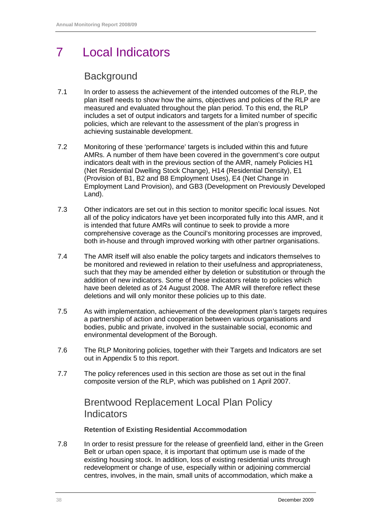# 7 Local Indicators

### **Background**

- 7.1 In order to assess the achievement of the intended outcomes of the RLP, the plan itself needs to show how the aims, objectives and policies of the RLP are measured and evaluated throughout the plan period. To this end, the RLP includes a set of output indicators and targets for a limited number of specific policies, which are relevant to the assessment of the plan's progress in achieving sustainable development.
- 7.2 Monitoring of these 'performance' targets is included within this and future AMRs. A number of them have been covered in the government's core output indicators dealt with in the previous section of the AMR, namely Policies H1 (Net Residential Dwelling Stock Change), H14 (Residential Density), E1 (Provision of B1, B2 and B8 Employment Uses), E4 (Net Change in Employment Land Provision), and GB3 (Development on Previously Developed Land).
- 7.3 Other indicators are set out in this section to monitor specific local issues. Not all of the policy indicators have yet been incorporated fully into this AMR, and it is intended that future AMRs will continue to seek to provide a more comprehensive coverage as the Council's monitoring processes are improved, both in-house and through improved working with other partner organisations.
- 7.4 The AMR itself will also enable the policy targets and indicators themselves to be monitored and reviewed in relation to their usefulness and appropriateness, such that they may be amended either by deletion or substitution or through the addition of new indicators. Some of these indicators relate to policies which have been deleted as of 24 August 2008. The AMR will therefore reflect these deletions and will only monitor these policies up to this date.
- 7.5 As with implementation, achievement of the development plan's targets requires a partnership of action and cooperation between various organisations and bodies, public and private, involved in the sustainable social, economic and environmental development of the Borough.
- 7.6 The RLP Monitoring policies, together with their Targets and Indicators are set out in Appendix 5 to this report.
- 7.7 The policy references used in this section are those as set out in the final composite version of the RLP, which was published on 1 April 2007.

## Brentwood Replacement Local Plan Policy **Indicators**

#### **Retention of Existing Residential Accommodation**

7.8 In order to resist pressure for the release of greenfield land, either in the Green Belt or urban open space, it is important that optimum use is made of the existing housing stock. In addition, loss of existing residential units through redevelopment or change of use, especially within or adjoining commercial centres, involves, in the main, small units of accommodation, which make a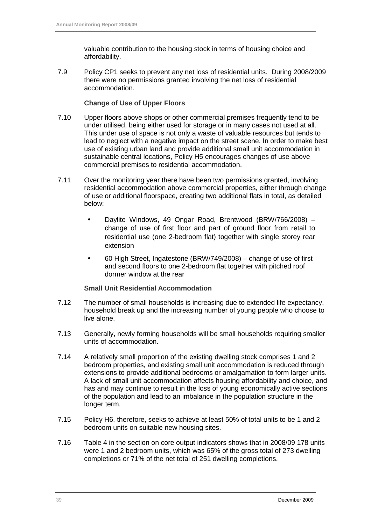valuable contribution to the housing stock in terms of housing choice and affordability.

7.9 Policy CP1 seeks to prevent any net loss of residential units. During 2008/2009 there were no permissions granted involving the net loss of residential accommodation.

#### **Change of Use of Upper Floors**

- 7.10 Upper floors above shops or other commercial premises frequently tend to be under utilised, being either used for storage or in many cases not used at all. This under use of space is not only a waste of valuable resources but tends to lead to neglect with a negative impact on the street scene. In order to make best use of existing urban land and provide additional small unit accommodation in sustainable central locations, Policy H5 encourages changes of use above commercial premises to residential accommodation.
- 7.11 Over the monitoring year there have been two permissions granted, involving residential accommodation above commercial properties, either through change of use or additional floorspace, creating two additional flats in total, as detailed below:
	- Daylite Windows, 49 Ongar Road, Brentwood (BRW/766/2008) change of use of first floor and part of ground floor from retail to residential use (one 2-bedroom flat) together with single storey rear extension
	- 60 High Street, Ingatestone (BRW/749/2008) change of use of first and second floors to one 2-bedroom flat together with pitched roof dormer window at the rear

#### **Small Unit Residential Accommodation**

- 7.12 The number of small households is increasing due to extended life expectancy, household break up and the increasing number of young people who choose to live alone.
- 7.13 Generally, newly forming households will be small households requiring smaller units of accommodation.
- 7.14 A relatively small proportion of the existing dwelling stock comprises 1 and 2 bedroom properties, and existing small unit accommodation is reduced through extensions to provide additional bedrooms or amalgamation to form larger units. A lack of small unit accommodation affects housing affordability and choice, and has and may continue to result in the loss of young economically active sections of the population and lead to an imbalance in the population structure in the longer term.
- 7.15 Policy H6, therefore, seeks to achieve at least 50% of total units to be 1 and 2 bedroom units on suitable new housing sites.
- 7.16 Table 4 in the section on core output indicators shows that in 2008/09 178 units were 1 and 2 bedroom units, which was 65% of the gross total of 273 dwelling completions or 71% of the net total of 251 dwelling completions.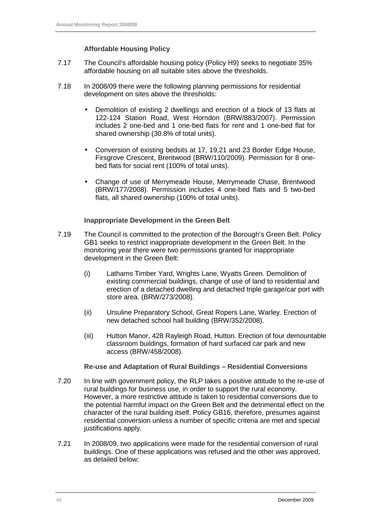#### **Affordable Housing Policy**

- 7.17 The Council's affordable housing policy (Policy H9) seeks to negotiate 35% affordable housing on all suitable sites above the thresholds.
- 7.18 In 2008/09 there were the following planning permissions for residential development on sites above the thresholds:
	- Demolition of existing 2 dwellings and erection of a block of 13 flats at 122-124 Station Road, West Horndon (BRW/883/2007). Permission includes 2 one-bed and 1 one-bed flats for rent and 1 one-bed flat for shared ownership (30.8% of total units).
	- Conversion of existing bedsits at 17, 19,21 and 23 Border Edge House, Firsgrove Crescent, Brentwood (BRW/110/2009). Permission for 8 onebed flats for social rent (100% of total units).
	- Change of use of Merrymeade House, Merrymeade Chase, Brentwood (BRW/177/2008). Permission includes 4 one-bed flats and 5 two-bed flats, all shared ownership (100% of total units).

#### **Inappropriate Development in the Green Belt**

- 7.19 The Council is committed to the protection of the Borough's Green Belt. Policy GB1 seeks to restrict inappropriate development in the Green Belt. In the monitoring year there were two permissions granted for inappropriate development in the Green Belt:
	- (i) Lathams Timber Yard, Wrights Lane, Wyatts Green. Demolition of existing commercial buildings, change of use of land to residential and erection of a detached dwelling and detached triple garage/car port with store area. (BRW/273/2008).
	- (ii) Ursuline Preparatory School, Great Ropers Lane, Warley. Erection of new detached school hall building (BRW/352/2008).
	- (iii) Hutton Manor, 428 Rayleigh Road, Hutton. Erection of four demountable classroom buildings, formation of hard surfaced car park and new access (BRW/458/2008).

#### **Re-use and Adaptation of Rural Buildings – Residential Conversions**

- 7.20 In line with government policy, the RLP takes a positive attitude to the re-use of rural buildings for business use, in order to support the rural economy. However, a more restrictive attitude is taken to residential conversions due to the potential harmful impact on the Green Belt and the detrimental effect on the character of the rural building itself. Policy GB16, therefore, presumes against residential conversion unless a number of specific criteria are met and special justifications apply.
- 7.21 In 2008/09, two applications were made for the residential conversion of rural buildings. One of these applications was refused and the other was approved, as detailed below: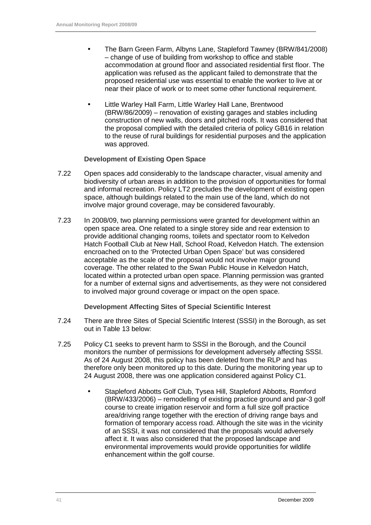- The Barn Green Farm, Albyns Lane, Stapleford Tawney (BRW/841/2008) – change of use of building from workshop to office and stable accommodation at ground floor and associated residential first floor. The application was refused as the applicant failed to demonstrate that the proposed residential use was essential to enable the worker to live at or near their place of work or to meet some other functional requirement.
- Little Warley Hall Farm, Little Warley Hall Lane, Brentwood (BRW/86/2009) – renovation of existing garages and stables including construction of new walls, doors and pitched roofs. It was considered that the proposal complied with the detailed criteria of policy GB16 in relation to the reuse of rural buildings for residential purposes and the application was approved.

#### **Development of Existing Open Space**

- 7.22 Open spaces add considerably to the landscape character, visual amenity and biodiversity of urban areas in addition to the provision of opportunities for formal and informal recreation. Policy LT2 precludes the development of existing open space, although buildings related to the main use of the land, which do not involve major ground coverage, may be considered favourably.
- 7.23 In 2008/09, two planning permissions were granted for development within an open space area. One related to a single storey side and rear extension to provide additional changing rooms, toilets and spectator room to Kelvedon Hatch Football Club at New Hall, School Road, Kelvedon Hatch. The extension encroached on to the 'Protected Urban Open Space' but was considered acceptable as the scale of the proposal would not involve major ground coverage. The other related to the Swan Public House in Kelvedon Hatch, located within a protected urban open space. Planning permission was granted for a number of external signs and advertisements, as they were not considered to involved major ground coverage or impact on the open space.

#### **Development Affecting Sites of Special Scientific Interest**

- 7.24 There are three Sites of Special Scientific Interest (SSSI) in the Borough, as set out in Table 13 below:
- 7.25 Policy C1 seeks to prevent harm to SSSI in the Borough, and the Council monitors the number of permissions for development adversely affecting SSSI. As of 24 August 2008, this policy has been deleted from the RLP and has therefore only been monitored up to this date. During the monitoring year up to 24 August 2008, there was one application considered against Policy C1.
	- Stapleford Abbotts Golf Club, Tysea Hill, Stapleford Abbotts, Romford (BRW/433/2006) – remodelling of existing practice ground and par-3 golf course to create irrigation reservoir and form a full size golf practice area/driving range together with the erection of driving range bays and formation of temporary access road. Although the site was in the vicinity of an SSSI, it was not considered that the proposals would adversely affect it. It was also considered that the proposed landscape and environmental improvements would provide opportunities for wildlife enhancement within the golf course.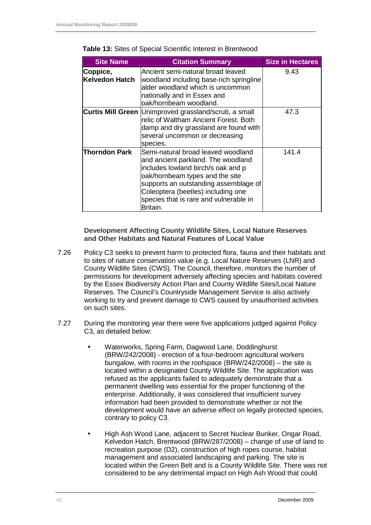| <b>Site Name</b>                  | <b>Citation Summary</b>                                                                                                                                                                                                                                                                | <b>Size in Hectares</b> |
|-----------------------------------|----------------------------------------------------------------------------------------------------------------------------------------------------------------------------------------------------------------------------------------------------------------------------------------|-------------------------|
| Coppice,<br><b>Kelvedon Hatch</b> | Ancient semi-natural broad leaved<br>woodland including base-rich springline<br>alder woodland which is uncommon<br>nationally and in Essex and<br>oak/hornbeam woodland.                                                                                                              | 9.43                    |
|                                   | Curtis Mill Green Unimproved grassland/scrub, a small<br>relic of Waltham Ancient Forest. Both<br>damp and dry grassland are found with<br>several uncommon or decreasing<br>species.                                                                                                  | 47.3                    |
| Thorndon Park                     | Semi-natural broad leaved woodland<br>and ancient parkland. The woodland<br>includes lowland birch/s oak and p<br>oak/hornbeam types and the site<br>supports an outstanding assemblage of<br>Coleoptera (beetles) including one<br>species that is rare and vulnerable in<br>Britain. | 141.4                   |

**Table 13:** Sites of Special Scientific Interest in Brentwood

**Development Affecting County Wildlife Sites, Local Nature Reserves and Other Habitats and Natural Features of Local Value** 

- 7.26 Policy C3 seeks to prevent harm to protected flora, fauna and their habitats and to sites of nature conservation value (e.g. Local Nature Reserves (LNR) and County Wildlife Sites (CWS). The Council, therefore, monitors the number of permissions for development adversely affecting species and habitats covered by the Essex Biodiversity Action Plan and County Wildlife Sites/Local Nature Reserves. The Council's Countryside Management Service is also actively working to try and prevent damage to CWS caused by unauthorised activities on such sites.
- 7.27 During the monitoring year there were five applications judged against Policy C3, as detailed below:
	- Waterworks, Spring Farm, Dagwood Lane, Doddinghurst (BRW/242/2008) - erection of a four-bedroom agricultural workers bungalow, with rooms in the roofspace (BRW/242/2008) – the site is located within a designated County Wildlife Site. The application was refused as the applicants failed to adequately demonstrate that a permanent dwelling was essential for the proper functioning of the enterprise. Additionally, it was considered that insufficient survey information had been provided to demonstrate whether or not the development would have an adverse effect on legally protected species, contrary to policy C3.
	- High Ash Wood Lane, adjacent to Secret Nuclear Bunker, Ongar Road, Kelvedon Hatch, Brentwood (BRW/287/2008) – change of use of land to recreation purpose (D2), construction of high ropes course, habitat management and associated landscaping and parking. The site is located within the Green Belt and is a County Wildlife Site. There was not considered to be any detrimental impact on High Ash Wood that could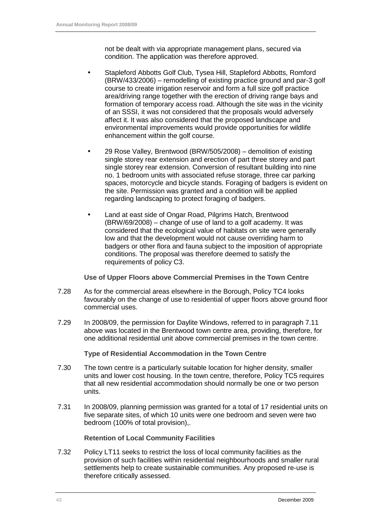not be dealt with via appropriate management plans, secured via condition. The application was therefore approved.

- Stapleford Abbotts Golf Club, Tysea Hill, Stapleford Abbotts, Romford (BRW/433/2006) – remodelling of existing practice ground and par-3 golf course to create irrigation reservoir and form a full size golf practice area/driving range together with the erection of driving range bays and formation of temporary access road. Although the site was in the vicinity of an SSSI, it was not considered that the proposals would adversely affect it. It was also considered that the proposed landscape and environmental improvements would provide opportunities for wildlife enhancement within the golf course.
- 29 Rose Valley, Brentwood (BRW/505/2008) demolition of existing single storey rear extension and erection of part three storey and part single storey rear extension. Conversion of resultant building into nine no. 1 bedroom units with associated refuse storage, three car parking spaces, motorcycle and bicycle stands. Foraging of badgers is evident on the site. Permission was granted and a condition will be applied regarding landscaping to protect foraging of badgers.
- Land at east side of Ongar Road, Pilgrims Hatch, Brentwood (BRW/69/2008) – change of use of land to a golf academy. It was considered that the ecological value of habitats on site were generally low and that the development would not cause overriding harm to badgers or other flora and fauna subject to the imposition of appropriate conditions. The proposal was therefore deemed to satisfy the requirements of policy C3.

**Use of Upper Floors above Commercial Premises in the Town Centre** 

- 7.28 As for the commercial areas elsewhere in the Borough, Policy TC4 looks favourably on the change of use to residential of upper floors above ground floor commercial uses.
- 7.29 In 2008/09, the permission for Daylite Windows, referred to in paragraph 7.11 above was located in the Brentwood town centre area, providing, therefore, for one additional residential unit above commercial premises in the town centre.

#### **Type of Residential Accommodation in the Town Centre**

- 7.30 The town centre is a particularly suitable location for higher density, smaller units and lower cost housing. In the town centre, therefore, Policy TC5 requires that all new residential accommodation should normally be one or two person units.
- 7.31 In 2008/09, planning permission was granted for a total of 17 residential units on five separate sites, of which 10 units were one bedroom and seven were two bedroom (100% of total provision),.

#### **Retention of Local Community Facilities**

7.32 Policy LT11 seeks to restrict the loss of local community facilities as the provision of such facilities within residential neighbourhoods and smaller rural settlements help to create sustainable communities. Any proposed re-use is therefore critically assessed.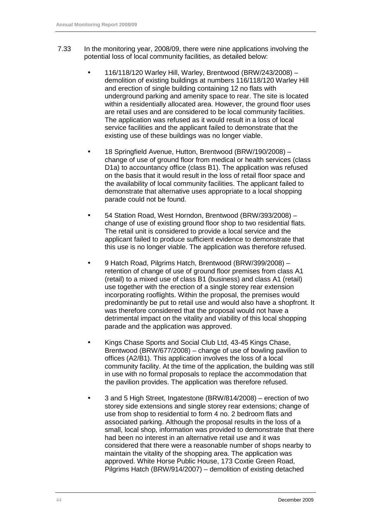- 7.33 In the monitoring year, 2008/09, there were nine applications involving the potential loss of local community facilities, as detailed below:
	- 116/118/120 Warley Hill, Warley, Brentwood (BRW/243/2008) demolition of existing buildings at numbers 116/118/120 Warley Hill and erection of single building containing 12 no flats with underground parking and amenity space to rear. The site is located within a residentially allocated area. However, the ground floor uses are retail uses and are considered to be local community facilities. The application was refused as it would result in a loss of local service facilities and the applicant failed to demonstrate that the existing use of these buildings was no longer viable.
	- 18 Springfield Avenue, Hutton, Brentwood (BRW/190/2008) change of use of ground floor from medical or health services (class D1a) to accountancy office (class B1). The application was refused on the basis that it would result in the loss of retail floor space and the availability of local community facilities. The applicant failed to demonstrate that alternative uses appropriate to a local shopping parade could not be found.
	- 54 Station Road, West Horndon, Brentwood (BRW/393/2008) change of use of existing ground floor shop to two residential flats. The retail unit is considered to provide a local service and the applicant failed to produce sufficient evidence to demonstrate that this use is no longer viable. The application was therefore refused.
	- 9 Hatch Road, Pilgrims Hatch, Brentwood (BRW/399/2008) retention of change of use of ground floor premises from class A1 (retail) to a mixed use of class B1 (business) and class A1 (retail) use together with the erection of a single storey rear extension incorporating rooflights. Within the proposal, the premises would predominantly be put to retail use and would also have a shopfront. It was therefore considered that the proposal would not have a detrimental impact on the vitality and viability of this local shopping parade and the application was approved.
	- Kings Chase Sports and Social Club Ltd, 43-45 Kings Chase, Brentwood (BRW/677/2008) – change of use of bowling pavilion to offices (A2/B1). This application involves the loss of a local community facility. At the time of the application, the building was still in use with no formal proposals to replace the accommodation that the pavilion provides. The application was therefore refused.
	- 3 and 5 High Street, Ingatestone (BRW/814/2008) erection of two storey side extensions and single storey rear extensions; change of use from shop to residential to form 4 no. 2 bedroom flats and associated parking. Although the proposal results in the loss of a small, local shop, information was provided to demonstrate that there had been no interest in an alternative retail use and it was considered that there were a reasonable number of shops nearby to maintain the vitality of the shopping area. The application was approved. White Horse Public House, 173 Coxtie Green Road, Pilgrims Hatch (BRW/914/2007) – demolition of existing detached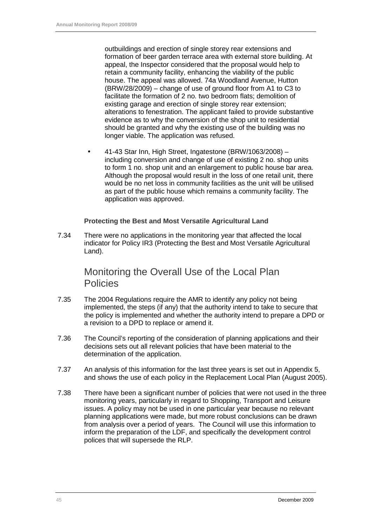outbuildings and erection of single storey rear extensions and formation of beer garden terrace area with external store building. At appeal, the Inspector considered that the proposal would help to retain a community facility, enhancing the viability of the public house. The appeal was allowed. 74a Woodland Avenue, Hutton (BRW/28/2009) – change of use of ground floor from A1 to C3 to facilitate the formation of 2 no. two bedroom flats; demolition of existing garage and erection of single storey rear extension; alterations to fenestration. The applicant failed to provide substantive evidence as to why the conversion of the shop unit to residential should be granted and why the existing use of the building was no longer viable. The application was refused.

• 41-43 Star Inn, High Street, Ingatestone (BRW/1063/2008) – including conversion and change of use of existing 2 no. shop units to form 1 no. shop unit and an enlargement to public house bar area. Although the proposal would result in the loss of one retail unit, there would be no net loss in community facilities as the unit will be utilised as part of the public house which remains a community facility. The application was approved.

#### **Protecting the Best and Most Versatile Agricultural Land**

7.34 There were no applications in the monitoring year that affected the local indicator for Policy IR3 (Protecting the Best and Most Versatile Agricultural Land).

#### Monitoring the Overall Use of the Local Plan **Policies**

- 7.35 The 2004 Regulations require the AMR to identify any policy not being implemented, the steps (if any) that the authority intend to take to secure that the policy is implemented and whether the authority intend to prepare a DPD or a revision to a DPD to replace or amend it.
- 7.36 The Council's reporting of the consideration of planning applications and their decisions sets out all relevant policies that have been material to the determination of the application.
- 7.37 An analysis of this information for the last three years is set out in Appendix 5, and shows the use of each policy in the Replacement Local Plan (August 2005).
- 7.38 There have been a significant number of policies that were not used in the three monitoring years, particularly in regard to Shopping, Transport and Leisure issues. A policy may not be used in one particular year because no relevant planning applications were made, but more robust conclusions can be drawn from analysis over a period of years. The Council will use this information to inform the preparation of the LDF, and specifically the development control polices that will supersede the RLP.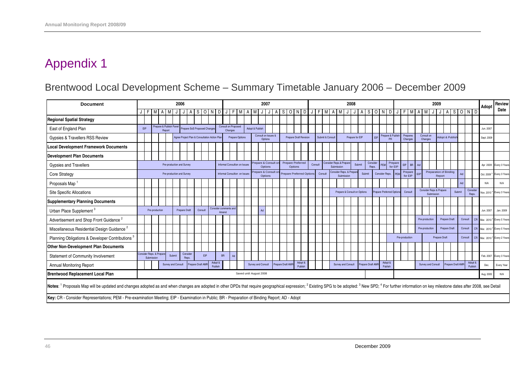# Brentwood Local Development Scheme – Summary Timetable January 2006 – December 2009

| <b>Document</b>                                                                                                                                                                                                                                           |            |                                      |                                   |        | 2006                      |                  |                                              |         |                    |           | 2007                                  |                        |   |                         |                                 |       |                   | 2008                                |                    |  |         |                 |  |                                                  |  | 2009                         |        |                   |                |                                |                    |                     |            |  |                       | Adopt                                 | <b>Review</b>                           |                   |        |                    |    |            |                                         |
|-----------------------------------------------------------------------------------------------------------------------------------------------------------------------------------------------------------------------------------------------------------|------------|--------------------------------------|-----------------------------------|--------|---------------------------|------------------|----------------------------------------------|---------|--------------------|-----------|---------------------------------------|------------------------|---|-------------------------|---------------------------------|-------|-------------------|-------------------------------------|--------------------|--|---------|-----------------|--|--------------------------------------------------|--|------------------------------|--------|-------------------|----------------|--------------------------------|--------------------|---------------------|------------|--|-----------------------|---------------------------------------|-----------------------------------------|-------------------|--------|--------------------|----|------------|-----------------------------------------|
|                                                                                                                                                                                                                                                           | $J$ $F$    | M                                    |                                   |        |                           |                  | <sub>S</sub>                                 | $\circ$ | N                  | ∣ ∩ I     | F<br>JI                               |                        | A | M                       |                                 | 1 J I | ASONDJFMA         |                                     |                    |  |         |                 |  | <b>MJJ</b>                                       |  |                              |        | ASONDJF           |                |                                |                    |                     | <b>MAM</b> |  |                       |                                       |                                         |                   |        | ASOND              |    |            | Date                                    |
| <b>Regional Spatial Strategy</b>                                                                                                                                                                                                                          |            |                                      |                                   |        |                           |                  |                                              |         |                    |           |                                       |                        |   |                         |                                 |       |                   |                                     |                    |  |         |                 |  |                                                  |  |                              |        |                   |                |                                |                    |                     |            |  |                       |                                       |                                         |                   |        |                    |    |            |                                         |
| East of England Plan                                                                                                                                                                                                                                      | <b>FIP</b> |                                      | Prepare & Publish Panel<br>Report |        |                           |                  | Prepare SoS Proposed Changes                 |         |                    |           | <b>Consult on Proposed</b><br>Changes |                        |   | Adopt & Publish         |                                 |       |                   |                                     |                    |  |         |                 |  |                                                  |  |                              |        |                   |                |                                |                    |                     |            |  |                       |                                       |                                         |                   |        |                    |    | Jun. 2007  |                                         |
| Gypsies & Travellers RSS Review                                                                                                                                                                                                                           |            |                                      |                                   |        |                           |                  | Agree Project Plan & Consultation Action Pla |         |                    |           |                                       | <b>Prepare Options</b> |   |                         | Consult on Issues &<br>Options  |       |                   | <b>Prepare Draft Revision</b>       |                    |  |         | Submit & Consul |  |                                                  |  | Prepare for EIP              |        | EIP               |                | Prepare & Publish<br><b>PR</b> |                    | Prepares<br>Changes |            |  | Consult on<br>Changes |                                       | Adopt & Publisl                         |                   |        |                    |    | Sept. 2009 |                                         |
| <b>Local Development Framework Documents</b>                                                                                                                                                                                                              |            |                                      |                                   |        |                           |                  |                                              |         |                    |           |                                       |                        |   |                         |                                 |       |                   |                                     |                    |  |         |                 |  |                                                  |  |                              |        |                   |                |                                |                    |                     |            |  |                       |                                       |                                         |                   |        |                    |    |            |                                         |
| <b>Development Plan Documents</b>                                                                                                                                                                                                                         |            |                                      |                                   |        |                           |                  |                                              |         |                    |           |                                       |                        |   |                         |                                 |       |                   |                                     |                    |  |         |                 |  |                                                  |  |                              |        |                   |                |                                |                    |                     |            |  |                       |                                       |                                         |                   |        |                    |    |            |                                         |
| Gypsies and Travellers                                                                                                                                                                                                                                    |            |                                      |                                   |        | Pre-production and Survey |                  |                                              |         |                    |           | Informal Consultion on Issues         |                        |   |                         | Prepare & Consult or<br>Options |       |                   | <b>Prepare Preferred</b><br>Options |                    |  | Consult |                 |  | <b>Consider Reps.&amp; Prepare</b><br>Submission |  | Submit                       |        | Consider<br>Reps. | PFN            |                                | Prepare<br>for EIP | EIP                 | BR Ad      |  |                       |                                       |                                         |                   |        |                    |    |            | Apr 2009 Every 3 Years                  |
| <b>Core Strategy</b>                                                                                                                                                                                                                                      |            |                                      |                                   |        | Pre-production and Survey |                  |                                              |         |                    |           | Informal Consultion on Issues         |                        |   |                         | repare & Consult or<br>Options  |       |                   | <b>Prepare Preferred Options</b>    |                    |  |         | Consult         |  | Consider Reps. & Prepare<br>Submission           |  |                              | Submit |                   | Consider Reps. |                                |                    | Prepare<br>for EIP  |            |  |                       |                                       | <b>Preparation of Binding</b><br>Report |                   | Ac     |                    |    | Oct. 2009  | Every 3 Year                            |
| Proposals Map                                                                                                                                                                                                                                             |            |                                      |                                   |        |                           |                  |                                              |         |                    |           |                                       |                        |   |                         |                                 |       |                   |                                     |                    |  |         |                 |  |                                                  |  |                              |        |                   |                |                                |                    |                     |            |  |                       |                                       |                                         |                   | Ad     |                    |    | N/A        | N/A                                     |
| <b>Site Specific Allocations</b>                                                                                                                                                                                                                          |            |                                      |                                   |        |                           |                  |                                              |         |                    |           |                                       |                        |   |                         |                                 |       |                   |                                     |                    |  |         |                 |  |                                                  |  | Prepare & Consult on Options |        |                   |                | repare Preferred Options       |                    | Consult             |            |  |                       | Consider Reps & Prepare<br>Submission |                                         |                   | Submit | Consider<br>Reps.  |    | Nov. 2010  | Every 3 Year                            |
| <b>Supplementary Planning Documents</b>                                                                                                                                                                                                                   |            |                                      |                                   |        |                           |                  |                                              |         |                    |           |                                       |                        |   |                         |                                 |       |                   |                                     |                    |  |         |                 |  |                                                  |  |                              |        |                   |                |                                |                    |                     |            |  |                       |                                       |                                         |                   |        |                    |    |            |                                         |
| Urban Place Supplement <sup>3</sup>                                                                                                                                                                                                                       |            | Pre-production                       |                                   |        | <b>Prepare Draft</b>      |                  | Consult                                      |         |                    | Amend     | Consider comments and                 |                        |   |                         | Ad                              |       |                   |                                     |                    |  |         |                 |  |                                                  |  |                              |        |                   |                |                                |                    |                     |            |  |                       |                                       |                                         |                   |        |                    |    | Jun. 2007  | Jan. 2009                               |
| Advertisement and Shop Front Guidance <sup>2</sup>                                                                                                                                                                                                        |            |                                      |                                   |        |                           |                  |                                              |         |                    |           |                                       |                        |   |                         |                                 |       |                   |                                     |                    |  |         |                 |  |                                                  |  |                              |        |                   |                |                                |                    |                     |            |  | Pre-production        |                                       | <b>Prepare Draft</b>                    |                   |        | Consult            | CR | Mar. 2010  | <sup>4</sup> Every 5 Year               |
| Miscellaneous Residential Design Guidance <sup>2</sup>                                                                                                                                                                                                    |            |                                      |                                   |        |                           |                  |                                              |         |                    |           |                                       |                        |   |                         |                                 |       |                   |                                     |                    |  |         |                 |  |                                                  |  |                              |        |                   |                |                                |                    |                     |            |  | Pre-production        |                                       | <b>Prepare Draft</b>                    |                   |        | Consult            |    |            | CR Mar. 2010 <sup>4</sup> Every 5 Years |
| Planning Obligations & Developer Contributions                                                                                                                                                                                                            |            |                                      |                                   |        |                           |                  |                                              |         |                    |           |                                       |                        |   |                         |                                 |       |                   |                                     |                    |  |         |                 |  |                                                  |  |                              |        |                   |                |                                |                    | Pre-production      |            |  |                       |                                       | <b>Prepare Draft</b>                    |                   |        | Consult            |    |            | CR Mar. 2010 <sup>4</sup> Every 2 Years |
| Other Non-Development Plan Documents                                                                                                                                                                                                                      |            |                                      |                                   |        |                           |                  |                                              |         |                    |           |                                       |                        |   |                         |                                 |       |                   |                                     |                    |  |         |                 |  |                                                  |  |                              |        |                   |                |                                |                    |                     |            |  |                       |                                       |                                         |                   |        |                    |    |            |                                         |
| Statement of Community Involvement                                                                                                                                                                                                                        |            | Consider Reps. & Prepa<br>Submission |                                   | Submit |                           | Conside<br>Reps. |                                              | EIP     |                    | <b>BR</b> | Ad                                    |                        |   |                         |                                 |       |                   |                                     |                    |  |         |                 |  |                                                  |  |                              |        |                   |                |                                |                    |                     |            |  |                       |                                       |                                         |                   |        |                    |    | Feb. 2007  | Every 3 Years                           |
| Annual Monitoring Report                                                                                                                                                                                                                                  |            |                                      |                                   |        | <b>Survey and Consult</b> |                  | Prepare Draft AM                             |         | Adopt &<br>Publish |           |                                       |                        |   | Survey and Consult      |                                 |       | Prepare Draft AMF |                                     | Adopt &<br>Publish |  |         |                 |  | Survey and Consult                               |  |                              |        | Prepare Draft AMI |                | Adopt &<br>Publish             |                    |                     |            |  |                       | Survey and Consult                    |                                         | Prepare Draft AMP |        | Adopt &<br>Publish |    | Dec.       | Every Year                              |
| <b>Brentwood Replacement Local Plan</b>                                                                                                                                                                                                                   |            |                                      |                                   |        |                           |                  |                                              |         |                    |           |                                       |                        |   | Saved until August 2008 |                                 |       |                   |                                     |                    |  |         |                 |  |                                                  |  |                              |        |                   |                |                                |                    |                     |            |  |                       |                                       |                                         |                   |        |                    |    | Aug. 2005  | N/A                                     |
| Notes: <sup>1</sup> Proposals Map will be updated and changes adopted as and when changes are adopted in other DPDs that require geographical expression; <sup>2</sup> Existing SPG to be adopted: 3 New SPD; <sup>4</sup> For further information on key |            |                                      |                                   |        |                           |                  |                                              |         |                    |           |                                       |                        |   |                         |                                 |       |                   |                                     |                    |  |         |                 |  |                                                  |  |                              |        |                   |                |                                |                    |                     |            |  |                       |                                       |                                         |                   |        |                    |    |            |                                         |
| Key: CR - Consider Representations; PEM - Pre-examination Meeting; EIP - Examination in Public; BR - Preparation of Binding Report; AD - Adopt                                                                                                            |            |                                      |                                   |        |                           |                  |                                              |         |                    |           |                                       |                        |   |                         |                                 |       |                   |                                     |                    |  |         |                 |  |                                                  |  |                              |        |                   |                |                                |                    |                     |            |  |                       |                                       |                                         |                   |        |                    |    |            |                                         |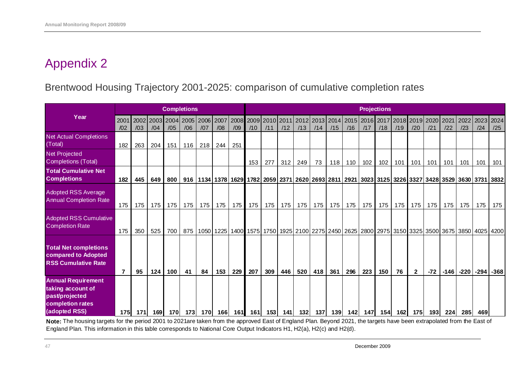### Brentwood Housing Trajectory 2001-2025: comparison of cumulative completion rates

|                                                                                                       |                |     |                  | <b>Completions</b>         |             |             |             |     |                  |                                                                                                                                        |     |             |             |             |             |                  | <b>Projections</b> |     |              |             |             |             |             |             |
|-------------------------------------------------------------------------------------------------------|----------------|-----|------------------|----------------------------|-------------|-------------|-------------|-----|------------------|----------------------------------------------------------------------------------------------------------------------------------------|-----|-------------|-------------|-------------|-------------|------------------|--------------------|-----|--------------|-------------|-------------|-------------|-------------|-------------|
| Year                                                                                                  | 200'<br>/02    | /03 | /04              | 2002 2003 2004 2005<br>/05 | /06         | 2006<br>/07 | 2007<br>/08 | /09 | 2008 2009<br>/10 | 2010 2011<br>/11                                                                                                                       | /12 | 2012<br>/13 | 2013<br>/14 | 2014<br>/15 | 2015<br>/16 | 2016 2017<br>/17 | /18                | /19 | 2019<br>/20  | 2020<br>/21 | 2021<br>/22 | 2022<br>/23 | 2023<br>/24 | 2024<br>/25 |
| <b>Net Actual Completions</b><br>(Total)                                                              | 182            | 263 | 204              | 151                        | 116         | 218         | 244         | 251 |                  |                                                                                                                                        |     |             |             |             |             |                  |                    |     |              |             |             |             |             |             |
| Net Projected<br><b>Completions (Total)</b>                                                           |                |     |                  |                            |             |             |             |     | 153              | 277                                                                                                                                    | 312 | 249         | 73          | 118         | 110         | 102              | 102                | 101 | 101          | 101         | 101         | 101         | 101         | 101         |
| <b>Total Cumulative Net</b><br><b>Completions</b>                                                     | 182            | 445 | 649              | 800                        |             |             |             |     |                  | 916  1134  1378   1629   1782   2059   2371   2620   2693   2811   2921   3023   3125   3226   3327   3428   3529   3630   3731   3832 |     |             |             |             |             |                  |                    |     |              |             |             |             |             |             |
| <b>Adopted RSS Average</b><br><b>Annual Completion Rate</b>                                           | 175            | 175 | 175 <sub>1</sub> | 175                        | 175         | 175         | 175         | 175 | 175              | 175 $\vert$                                                                                                                            | 175 | 175         | 175         | 175         | 175         | 175              | 175                | 175 | 175          | 175         | 175         | 175         | 175         | 175         |
| <b>Adopted RSS Cumulative</b><br><b>Completion Rate</b>                                               | 175            | 350 | 525              | 700                        | 875         |             |             |     |                  | 1050   1225   1400   1575   1750   1925   2100   2275   2450   2625   2800   2975   3150   3325   3500   3675   3850   4025   4200     |     |             |             |             |             |                  |                    |     |              |             |             |             |             |             |
| <b>Total Net completions</b><br>compared to Adopted<br><b>RSS Cumulative Rate</b>                     | $\overline{7}$ | 95  | 124              | 100                        | 41          | 84          | 153         | 229 | 207              | 309                                                                                                                                    | 446 | 520         | 418         | 361         | 296         | 223              | 150                | 76  | $\mathbf{2}$ | $-72$       | $-146$      | -220        | $-294$      | $-368$      |
| <b>Annual Requirement</b><br>taking account of<br>past/projected<br>completion rates<br>(adopted RSS) | <b>1751</b>    | 171 | 169              | <b>170</b>                 | <b>1731</b> | <b>170</b>  | 166l        | 161 | 161              | 1531                                                                                                                                   | 141 | 132         | 137         | 139         | 142         | 147              | 154I               | 162 | 175          | 193         | 224         | 285         | 469         |             |

**Note:** The housing targets for the period 2001 to 2021are taken from the approved East of England Plan. Beyond 2021, the targets have been extrapolated from the East of England Plan. This information in this table corresponds to National Core Output Indicators H1, H2(a), H2(c) and H2(d).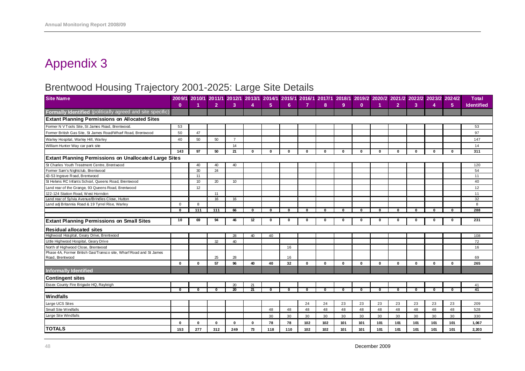# Brentwood Housing Trajectory 2001-2025: Large Site Details

| $\mathbf{0}$<br>$\overline{2}$<br>$\mathbf{3}$<br>5 <sub>5</sub><br>6<br>$\overline{7}$<br>8<br>9 <sup>°</sup><br>$\overline{2}$<br>3<br>1<br>4<br>$\mathbf{0}$<br>4<br>5 <sup>1</sup><br>Formally Identified (politically agreed and site specific)<br><b>Extant Planning Permissions on Allocated Sites</b><br>Former N V Tools Site, St James Road, Brentwood<br>53<br>50<br>47<br>Former British Gas Site, St James Road/Wharf Road, Brentwood | <b>Identified</b><br>53 |
|----------------------------------------------------------------------------------------------------------------------------------------------------------------------------------------------------------------------------------------------------------------------------------------------------------------------------------------------------------------------------------------------------------------------------------------------------|-------------------------|
|                                                                                                                                                                                                                                                                                                                                                                                                                                                    |                         |
|                                                                                                                                                                                                                                                                                                                                                                                                                                                    |                         |
|                                                                                                                                                                                                                                                                                                                                                                                                                                                    |                         |
|                                                                                                                                                                                                                                                                                                                                                                                                                                                    |                         |
|                                                                                                                                                                                                                                                                                                                                                                                                                                                    | 97                      |
| 50<br>50<br>$\overline{7}$<br>Warley Hospital, Warley Hill, Warley<br>40                                                                                                                                                                                                                                                                                                                                                                           | 147                     |
| 14<br>William Hunter Way car park site                                                                                                                                                                                                                                                                                                                                                                                                             | 14                      |
| 50<br>21<br>143<br>97<br>$\mathbf{0}$<br>$\Omega$<br>$\bf{0}$<br>$\mathbf{0}$<br>$\mathbf{0}$<br>$\mathbf{0}$<br>$\mathbf{0}$<br>$\bf{0}$<br>$\Omega$<br>$\bf{0}$<br>$\mathbf{0}$<br>$\Omega$                                                                                                                                                                                                                                                      | 311                     |
| <b>Extant Planning Permissions on Unallocated Large Sites</b>                                                                                                                                                                                                                                                                                                                                                                                      |                         |
| St Charles Youth Treatment Centre, Brentwood<br>40<br>40<br>40                                                                                                                                                                                                                                                                                                                                                                                     | 120                     |
| Former Sam's Nightclub, Brentwood<br>30<br>24                                                                                                                                                                                                                                                                                                                                                                                                      | 54                      |
| 43-53 Ingrave Road, Brentwood<br>11                                                                                                                                                                                                                                                                                                                                                                                                                | 11                      |
| St Helens RC Infants School, Queens Road, Brentwood<br>10<br>20<br>10                                                                                                                                                                                                                                                                                                                                                                              | 40                      |
| Land rear of the Grange, 93 Queens Road, Brentwood<br>12                                                                                                                                                                                                                                                                                                                                                                                           | 12                      |
| 122-124 Station Road, West Horndon<br>11                                                                                                                                                                                                                                                                                                                                                                                                           | 11                      |
| Land rear of Sylvia Avenue/Brindles Close, Hutton<br>16<br>16                                                                                                                                                                                                                                                                                                                                                                                      | 32                      |
| Land adj Britannia Road & 19 Tyrrel Rise, Warley<br>$\overline{0}$<br>8                                                                                                                                                                                                                                                                                                                                                                            | 8                       |
| 111<br>111<br>66<br>0<br>$\Omega$<br>$\mathbf 0$<br>$\mathbf{0}$<br>$\mathbf 0$<br>$\mathbf 0$<br>$\mathbf{0}$<br>0<br>$\Omega$<br>$\Omega$<br>$\Omega$<br>$\Omega$<br>$\Omega$                                                                                                                                                                                                                                                                    | 288                     |
| 10<br>69<br>94<br>46<br>12<br>0<br>$\mathbf{0}$<br>$\mathbf 0$<br>$\mathbf 0$<br>$\Omega$<br>0<br>$\Omega$<br>$\Omega$<br>$\Omega$<br>O<br>U                                                                                                                                                                                                                                                                                                       | 231                     |
| <b>Extant Planning Permissions on Small Sites</b>                                                                                                                                                                                                                                                                                                                                                                                                  |                         |
| <b>Residual allocated sites</b>                                                                                                                                                                                                                                                                                                                                                                                                                    |                         |
| Highwood Hospital, Geary Drive, Brentwood<br>28<br>40<br>40                                                                                                                                                                                                                                                                                                                                                                                        | 108                     |
| Little Highwood Hospital, Geary Drive<br>32<br>40                                                                                                                                                                                                                                                                                                                                                                                                  | 72                      |
| North of Highwood Close, Brentwood<br>16                                                                                                                                                                                                                                                                                                                                                                                                           | 16                      |
| Phase 4A, Former British Gas/Transco site, Wharf Road and St James                                                                                                                                                                                                                                                                                                                                                                                 |                         |
| 25<br>Road, Brentwood<br>28<br>16                                                                                                                                                                                                                                                                                                                                                                                                                  | 69                      |
| $\mathbf{0}$<br>57<br>96<br>40<br>40<br>32<br>$\mathbf{0}$<br>$\mathbf{0}$<br>$\mathbf{0}$<br>$\mathbf{0}$<br>$\bf{0}$<br>$\mathbf{0}$<br>$\mathbf{0}$<br>$\mathbf{0}$<br>$\mathbf{0}$<br>$\bf{0}$                                                                                                                                                                                                                                                 | 265                     |
| <b>Informally Identified</b>                                                                                                                                                                                                                                                                                                                                                                                                                       |                         |
| <b>Contingent sites</b>                                                                                                                                                                                                                                                                                                                                                                                                                            |                         |
| Essex County Fire Brigade HQ, Rayleigh<br>20<br>21                                                                                                                                                                                                                                                                                                                                                                                                 | 41                      |
| $\overline{20}$<br>$\overline{21}$<br>$\mathbf{0}$<br>- 0<br>$\mathbf{0}$<br>O<br>$\bf{0}$<br>$\bf{0}$<br>0<br>$\bf{0}$<br>$\mathbf{0}$<br>$\mathbf{0}$<br>n<br>n<br>O<br>O                                                                                                                                                                                                                                                                        | 41                      |
| Windfalls                                                                                                                                                                                                                                                                                                                                                                                                                                          |                         |
| Large UCS Sites<br>24<br>24<br>23<br>23<br>23<br>23<br>23<br>23<br>23                                                                                                                                                                                                                                                                                                                                                                              | 209                     |
| Small Site Windfalls<br>48<br>48<br>48<br>48<br>48<br>48<br>48<br>48<br>48<br>48<br>48                                                                                                                                                                                                                                                                                                                                                             | 528                     |
| Large Site Windfalls<br>30<br>30<br>30<br>30<br>30<br>30<br>30<br>30<br>30<br>30<br>30                                                                                                                                                                                                                                                                                                                                                             | 330                     |
| 78<br>102<br>102<br>101<br>101<br>101<br>101<br>101<br>101<br>$\mathbf{0}$<br>$\mathbf{0}$<br>$\mathbf{0}$<br>78<br>101<br>$\bf{0}$<br>$\mathbf{0}$                                                                                                                                                                                                                                                                                                | 1,067                   |
| <b>TOTALS</b><br>102<br>277<br>312<br>249<br>73<br>118<br>110<br>102<br>101<br>101<br>101<br>101<br>101<br>101<br>101<br>153                                                                                                                                                                                                                                                                                                                       | 2,203                   |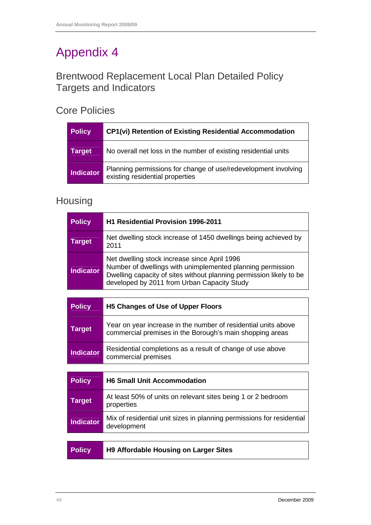## Brentwood Replacement Local Plan Detailed Policy Targets and Indicators

### Core Policies

| <b>Policy</b>    | <b>CP1(vi) Retention of Existing Residential Accommodation</b>                                    |
|------------------|---------------------------------------------------------------------------------------------------|
| <b>Target</b>    | No overall net loss in the number of existing residential units                                   |
| <b>Indicator</b> | Planning permissions for change of use/redevelopment involving<br>existing residential properties |

## Housing

| <b>Policy</b>    | <b>H1 Residential Provision 1996-2011</b>                                                                                                                                                                                        |
|------------------|----------------------------------------------------------------------------------------------------------------------------------------------------------------------------------------------------------------------------------|
| <b>Target</b>    | Net dwelling stock increase of 1450 dwellings being achieved by<br>2011                                                                                                                                                          |
| <b>Indicator</b> | Net dwelling stock increase since April 1996<br>Number of dwellings with unimplemented planning permission<br>Dwelling capacity of sites without planning permission likely to be<br>developed by 2011 from Urban Capacity Study |
|                  |                                                                                                                                                                                                                                  |
| <b>Policy</b>    | <b>H5 Changes of Use of Upper Floors</b>                                                                                                                                                                                         |
| <b>Target</b>    | Year on year increase in the number of residential units above<br>commercial premises in the Borough's main shopping areas                                                                                                       |
| <b>Indicator</b> | Residential completions as a result of change of use above<br>commercial premises                                                                                                                                                |
|                  |                                                                                                                                                                                                                                  |
| <b>Policy</b>    | <b>H6 Small Unit Accommodation</b>                                                                                                                                                                                               |
| <b>Target</b>    | At least 50% of units on relevant sites being 1 or 2 bedroom<br>properties                                                                                                                                                       |
| <b>Indicator</b> | Mix of residential unit sizes in planning permissions for residential<br>development                                                                                                                                             |
|                  |                                                                                                                                                                                                                                  |
| <b>Policy</b>    | <b>H9 Affordable Housing on Larger Sites</b>                                                                                                                                                                                     |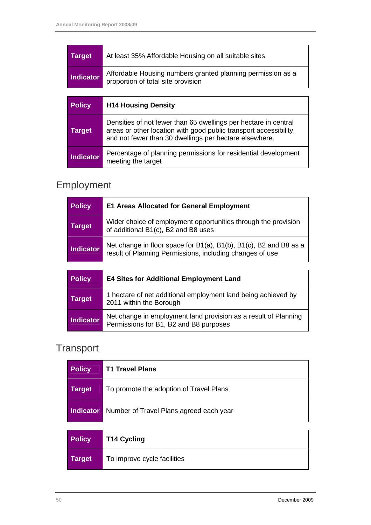| <b>Policy</b>    | <b>H14 Housing Density</b>                                                                        |
|------------------|---------------------------------------------------------------------------------------------------|
|                  |                                                                                                   |
| <b>Indicator</b> | Affordable Housing numbers granted planning permission as a<br>proportion of total site provision |
| <b>Target</b>    | At least 35% Affordable Housing on all suitable sites                                             |

| $\sim$           | 111711003111900113117                                                                                                                                                                          |
|------------------|------------------------------------------------------------------------------------------------------------------------------------------------------------------------------------------------|
| <b>Target</b>    | Densities of not fewer than 65 dwellings per hectare in central<br>areas or other location with good public transport accessibility,<br>and not fewer than 30 dwellings per hectare elsewhere. |
| <b>Indicator</b> | Percentage of planning permissions for residential development<br>meeting the target                                                                                                           |

# Employment

| <b>Policy</b> | <b>E1 Areas Allocated for General Employment</b>                                                                              |
|---------------|-------------------------------------------------------------------------------------------------------------------------------|
| Target        | Wider choice of employment opportunities through the provision<br>of additional B1(c), B2 and B8 uses                         |
| Indicator     | Net change in floor space for B1(a), B1(b), B1(c), B2 and B8 as a<br>result of Planning Permissions, including changes of use |

| <b>Policy</b>    | <b>E4 Sites for Additional Employment Land</b>                                                            |
|------------------|-----------------------------------------------------------------------------------------------------------|
| <b>Target</b>    | 1 hectare of net additional employment land being achieved by<br>2011 within the Borough                  |
| <b>Indicator</b> | Net change in employment land provision as a result of Planning<br>Permissions for B1, B2 and B8 purposes |

# **Transport**

| <b>Policy</b>    | <b>T1 Travel Plans</b>                  |
|------------------|-----------------------------------------|
| <b>Target</b>    | To promote the adoption of Travel Plans |
| <b>Indicator</b> | Number of Travel Plans agreed each year |

| <b>Policy</b> | <b>T14 Cycling</b>          |
|---------------|-----------------------------|
| Target        | To improve cycle facilities |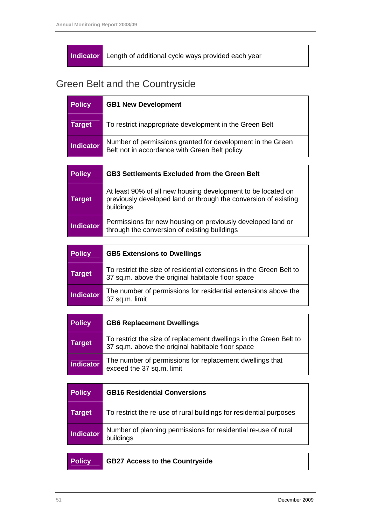#### **Indicator** Length of additional cycle ways provided each year

# Green Belt and the Countryside

| <b>Policy</b>    | <b>GB1 New Development</b>                                                                                  |
|------------------|-------------------------------------------------------------------------------------------------------------|
| Target           | To restrict inappropriate development in the Green Belt                                                     |
| <b>Indicator</b> | Number of permissions granted for development in the Green<br>Belt not in accordance with Green Belt policy |

| <b>Policy</b>    | <b>GB3 Settlements Excluded from the Green Belt</b>                                                                                          |
|------------------|----------------------------------------------------------------------------------------------------------------------------------------------|
| <b>Target</b>    | At least 90% of all new housing development to be located on<br>previously developed land or through the conversion of existing<br>buildings |
| <b>Indicator</b> | Permissions for new housing on previously developed land or<br>through the conversion of existing buildings                                  |

| <b>Policy</b> | <b>GB5 Extensions to Dwellings</b>                                                                                       |
|---------------|--------------------------------------------------------------------------------------------------------------------------|
| Target        | To restrict the size of residential extensions in the Green Belt to<br>37 sq.m. above the original habitable floor space |
| Indicator     | The number of permissions for residential extensions above the<br>37 sq.m. limit                                         |

| <b>Policy</b>    | <b>GB6 Replacement Dwellings</b>                                                                                        |
|------------------|-------------------------------------------------------------------------------------------------------------------------|
| <b>Target</b>    | To restrict the size of replacement dwellings in the Green Belt to<br>37 sq.m. above the original habitable floor space |
| <b>Indicator</b> | The number of permissions for replacement dwellings that<br>exceed the 37 sq.m. limit                                   |

| <b>Policy</b>    | <b>GB16 Residential Conversions</b>                                         |
|------------------|-----------------------------------------------------------------------------|
| Target           | To restrict the re-use of rural buildings for residential purposes          |
| <b>Indicator</b> | Number of planning permissions for residential re-use of rural<br>buildings |
|                  |                                                                             |

| <b>Policy</b> | GB27 Access to the Countryside |
|---------------|--------------------------------|
|---------------|--------------------------------|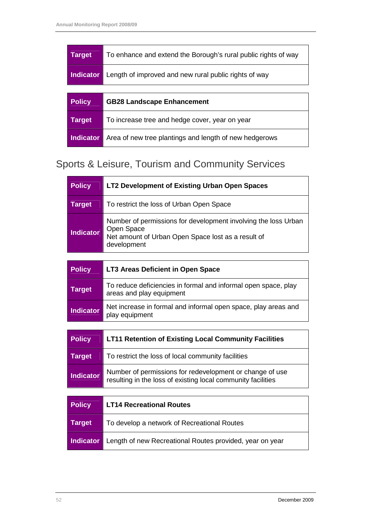| <b>Target</b>    | To enhance and extend the Borough's rural public rights of way |
|------------------|----------------------------------------------------------------|
| <b>Indicator</b> | Length of improved and new rural public rights of way          |
|                  |                                                                |
|                  |                                                                |
| <b>Policy</b>    | <b>GB28 Landscape Enhancement</b>                              |
| <b>Target</b>    | To increase tree and hedge cover, year on year                 |

# Sports & Leisure, Tourism and Community Services

| <b>Policy</b> | <b>LT2 Development of Existing Urban Open Spaces</b>                                                                                              |
|---------------|---------------------------------------------------------------------------------------------------------------------------------------------------|
| <b>Target</b> | To restrict the loss of Urban Open Space                                                                                                          |
| Indicator     | Number of permissions for development involving the loss Urban<br>Open Space<br>Net amount of Urban Open Space lost as a result of<br>development |

| <b>Policy</b>    | LT3 Areas Deficient in Open Space                                                          |
|------------------|--------------------------------------------------------------------------------------------|
| <b>Target</b>    | To reduce deficiencies in formal and informal open space, play<br>areas and play equipment |
| <b>Indicator</b> | Net increase in formal and informal open space, play areas and<br>play equipment           |

| <b>Policy</b>    | <b>LT11 Retention of Existing Local Community Facilities</b>                                                             |
|------------------|--------------------------------------------------------------------------------------------------------------------------|
| <b>Target</b>    | To restrict the loss of local community facilities                                                                       |
| <b>Indicator</b> | Number of permissions for redevelopment or change of use<br>resulting in the loss of existing local community facilities |

| <b>Policy</b> | <b>LT14 Recreational Routes</b>                          |
|---------------|----------------------------------------------------------|
| Target        | To develop a network of Recreational Routes              |
| Indicator     | Length of new Recreational Routes provided, year on year |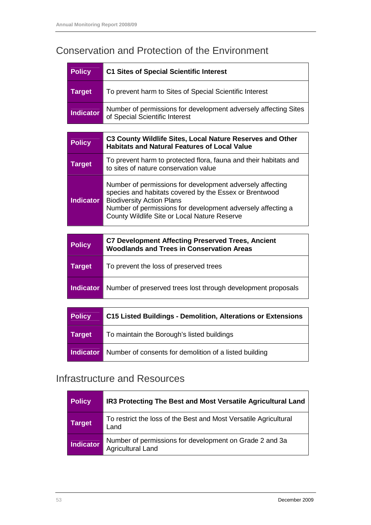# Conservation and Protection of the Environment

| <b>Policy</b>    | <b>C1 Sites of Special Scientific Interest</b>                                                                                                                                                                                                                         |
|------------------|------------------------------------------------------------------------------------------------------------------------------------------------------------------------------------------------------------------------------------------------------------------------|
| <b>Target</b>    | To prevent harm to Sites of Special Scientific Interest                                                                                                                                                                                                                |
| <b>Indicator</b> | Number of permissions for development adversely affecting Sites<br>of Special Scientific Interest                                                                                                                                                                      |
|                  |                                                                                                                                                                                                                                                                        |
| <b>Policy</b>    | C3 County Wildlife Sites, Local Nature Reserves and Other<br><b>Habitats and Natural Features of Local Value</b>                                                                                                                                                       |
| <b>Target</b>    | To prevent harm to protected flora, fauna and their habitats and<br>to sites of nature conservation value                                                                                                                                                              |
| <b>Indicator</b> | Number of permissions for development adversely affecting<br>species and habitats covered by the Essex or Brentwood<br><b>Biodiversity Action Plans</b><br>Number of permissions for development adversely affecting a<br>County Wildlife Site or Local Nature Reserve |
|                  |                                                                                                                                                                                                                                                                        |
| <b>Policy</b>    | <b>C7 Development Affecting Preserved Trees, Ancient</b><br><b>Woodlands and Trees in Conservation Areas</b>                                                                                                                                                           |
| <b>Target</b>    | To prevent the loss of preserved trees                                                                                                                                                                                                                                 |
| <b>Indicator</b> | Number of preserved trees lost through development proposals                                                                                                                                                                                                           |
|                  |                                                                                                                                                                                                                                                                        |
| <b>Policy</b>    | <b>C15 Listed Buildings - Demolition, Alterations or Extensions</b>                                                                                                                                                                                                    |

| <b>Target</b> | To maintain the Borough's listed buildings                       |
|---------------|------------------------------------------------------------------|
|               | Indicator Number of consents for demolition of a listed building |

### Infrastructure and Resources

| <b>Policy</b>    | IR3 Protecting The Best and Most Versatile Agricultural Land                        |
|------------------|-------------------------------------------------------------------------------------|
| Target           | To restrict the loss of the Best and Most Versatile Agricultural<br>Land            |
| <b>Indicator</b> | Number of permissions for development on Grade 2 and 3a<br><b>Agricultural Land</b> |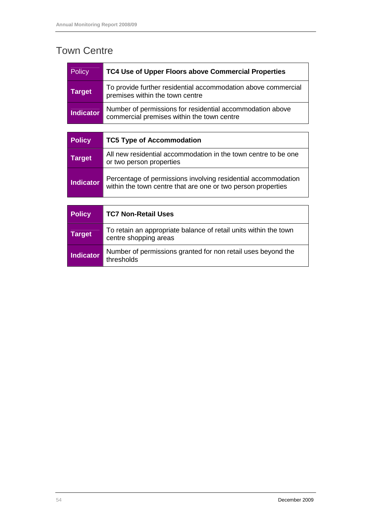# Town Centre

| <b>Policy</b> | TC4 Use of Upper Floors above Commercial Properties                                                     |
|---------------|---------------------------------------------------------------------------------------------------------|
| Target        | To provide further residential accommodation above commercial<br>premises within the town centre        |
| Indicator     | Number of permissions for residential accommodation above<br>commercial premises within the town centre |

| <b>Policy</b>    | <b>TC5 Type of Accommodation</b>                                                                                              |
|------------------|-------------------------------------------------------------------------------------------------------------------------------|
| <b>Target</b>    | All new residential accommodation in the town centre to be one<br>or two person properties                                    |
| <b>Indicator</b> | Percentage of permissions involving residential accommodation<br>within the town centre that are one or two person properties |

| <b>Policy</b>    | <b>TC7 Non-Retail Uses</b>                                                                |
|------------------|-------------------------------------------------------------------------------------------|
| <b>Target</b>    | To retain an appropriate balance of retail units within the town<br>centre shopping areas |
| <b>Indicator</b> | Number of permissions granted for non retail uses beyond the<br>thresholds                |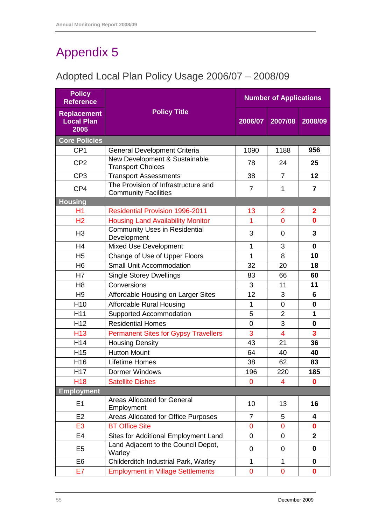# Adopted Local Plan Policy Usage 2006/07 – 2008/09

| <b>Policy</b><br><b>Reference</b>               | <b>Number of Applications</b>                                      |                |                |                         |
|-------------------------------------------------|--------------------------------------------------------------------|----------------|----------------|-------------------------|
| <b>Replacement</b><br><b>Local Plan</b><br>2005 | <b>Policy Title</b>                                                | 2006/07        | 2007/08        | 2008/09                 |
| Core Policies                                   |                                                                    |                |                |                         |
| CP <sub>1</sub>                                 | <b>General Development Criteria</b>                                | 1090           | 1188           | 956                     |
| CP <sub>2</sub>                                 | New Development & Sustainable<br><b>Transport Choices</b>          | 78             | 24             | 25                      |
| CP <sub>3</sub>                                 | <b>Transport Assessments</b>                                       | 38             | $\overline{7}$ | 12                      |
| CP4                                             | The Provision of Infrastructure and<br><b>Community Facilities</b> | $\overline{7}$ | $\mathbf{1}$   | $\overline{7}$          |
| <b>Housing</b>                                  |                                                                    |                |                |                         |
| H1                                              | <b>Residential Provision 1996-2011</b>                             | 13             | $\overline{2}$ | $\overline{2}$          |
| H <sub>2</sub>                                  | <b>Housing Land Availability Monitor</b>                           | 1              | $\mathbf 0$    | $\bf{0}$                |
| H <sub>3</sub>                                  | <b>Community Uses in Residential</b><br>Development                | 3              | 0              | 3                       |
| H <sub>4</sub>                                  | <b>Mixed Use Development</b>                                       | 1              | 3              | $\bf{0}$                |
| H <sub>5</sub>                                  | Change of Use of Upper Floors                                      | 1              | 8              | 10                      |
| H <sub>6</sub>                                  | <b>Small Unit Accommodation</b>                                    | 32             | 20             | 18                      |
| H7                                              | <b>Single Storey Dwellings</b>                                     | 83             | 66             | 60                      |
| H <sub>8</sub>                                  | Conversions                                                        | 3              | 11             | 11                      |
| H <sub>9</sub>                                  | Affordable Housing on Larger Sites                                 | 12             | 3              | 6                       |
| H <sub>10</sub>                                 | <b>Affordable Rural Housing</b>                                    | 1              | $\overline{0}$ | 0                       |
| H <sub>11</sub>                                 | Supported Accommodation                                            | 5              | $\overline{2}$ | 1                       |
| H <sub>12</sub>                                 | <b>Residential Homes</b>                                           | $\overline{0}$ | 3              | $\bf{0}$                |
| H <sub>13</sub>                                 | <b>Permanent Sites for Gypsy Travellers</b>                        | 3              | $\overline{4}$ | $\overline{\mathbf{3}}$ |
| H14                                             | <b>Housing Density</b>                                             | 43             | 21             | 36                      |
| H <sub>15</sub>                                 | <b>Hutton Mount</b>                                                | 64             | 40             | 40                      |
| H <sub>16</sub>                                 | <b>Lifetime Homes</b>                                              | 38             | 62             | 83                      |
| H <sub>17</sub>                                 | <b>Dormer Windows</b>                                              | 196            | 220            | 185                     |
| H <sub>18</sub>                                 | <b>Satellite Dishes</b>                                            | 0              | 4              | 0                       |
| <b>Employment</b>                               |                                                                    |                |                |                         |
| E1                                              | <b>Areas Allocated for General</b><br>Employment                   | 10             | 13             | 16                      |
| E <sub>2</sub>                                  | Areas Allocated for Office Purposes                                | $\overline{7}$ | 5              | 4                       |
| E <sub>3</sub>                                  | <b>BT Office Site</b>                                              | $\mathbf{0}$   | 0              | $\mathbf 0$             |
| E4                                              | Sites for Additional Employment Land                               | $\overline{0}$ | 0              | $\mathbf{2}$            |
| E <sub>5</sub>                                  | Land Adjacent to the Council Depot,<br>Warley                      | 0              | 0              | 0                       |
| E <sub>6</sub>                                  | Childerditch Industrial Park, Warley                               | 1              | $\mathbf{1}$   | 0                       |
| E7                                              | <b>Employment in Village Settlements</b>                           | $\mathbf 0$    | $\mathbf 0$    | $\bf{0}$                |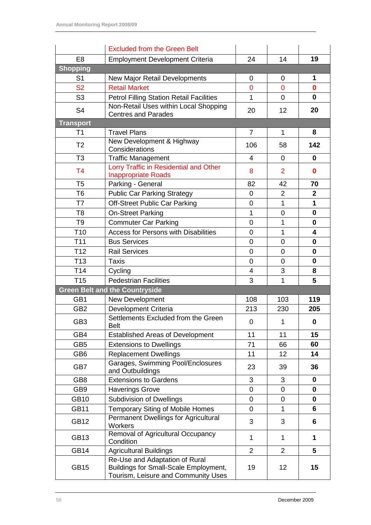|                  | <b>Excluded from the Green Belt</b>                                                                            |                |                |                         |
|------------------|----------------------------------------------------------------------------------------------------------------|----------------|----------------|-------------------------|
| E <sub>8</sub>   | <b>Employment Development Criteria</b>                                                                         | 24             | 14             | 19                      |
| <b>Shopping</b>  |                                                                                                                |                |                |                         |
| S <sub>1</sub>   | New Major Retail Developments                                                                                  | 0              | 0              | 1                       |
| <b>S2</b>        | <b>Retail Market</b>                                                                                           | $\overline{0}$ | $\overline{0}$ | $\bf{0}$                |
| S <sub>3</sub>   | <b>Petrol Filling Station Retail Facilities</b>                                                                | 1              | 0              | 0                       |
| S <sub>4</sub>   | Non-Retail Uses within Local Shopping                                                                          | 20             | 12             | 20                      |
|                  | <b>Centres and Parades</b>                                                                                     |                |                |                         |
| <b>Transport</b> | <b>Travel Plans</b>                                                                                            | $\overline{7}$ |                |                         |
| T <sub>1</sub>   | New Development & Highway                                                                                      |                | 1              | 8                       |
| T <sub>2</sub>   | Considerations                                                                                                 | 106            | 58             | 142                     |
| T <sub>3</sub>   | <b>Traffic Management</b>                                                                                      | $\overline{4}$ | 0              | 0                       |
| T <sub>4</sub>   | Lorry Traffic in Residential and Other                                                                         | 8              | $\overline{2}$ | 0                       |
|                  | <b>Inappropriate Roads</b>                                                                                     |                |                |                         |
| T <sub>5</sub>   | Parking - General                                                                                              | 82             | 42             | 70                      |
| T <sub>6</sub>   | <b>Public Car Parking Strategy</b>                                                                             | 0              | $\overline{2}$ | $\mathbf{2}$            |
| T7               | <b>Off-Street Public Car Parking</b>                                                                           | 0              | 1              | $\mathbf{1}$            |
| T <sub>8</sub>   | <b>On-Street Parking</b>                                                                                       | 1              | 0              | $\bf{0}$                |
| T <sub>9</sub>   | <b>Commuter Car Parking</b>                                                                                    | $\mathbf 0$    | 1              | 0                       |
| T <sub>10</sub>  | <b>Access for Persons with Disabilities</b>                                                                    | $\overline{0}$ | 1              | $\overline{\mathbf{4}}$ |
| T <sub>11</sub>  | <b>Bus Services</b>                                                                                            | $\overline{0}$ | $\overline{0}$ | $\bf{0}$                |
| T <sub>12</sub>  | <b>Rail Services</b>                                                                                           | 0              | 0              | $\bf{0}$                |
| T <sub>13</sub>  | <b>Taxis</b>                                                                                                   | 0              | 0              | $\bf{0}$                |
| T <sub>14</sub>  | Cycling                                                                                                        | 4              | 3              | 8                       |
| T <sub>15</sub>  | <b>Pedestrian Facilities</b>                                                                                   | 3              | 1              | 5                       |
|                  | <b>Green Belt and the Countryside</b>                                                                          |                |                |                         |
| GB1              | New Development                                                                                                | 108            | 103            | 119                     |
| GB <sub>2</sub>  | <b>Development Criteria</b>                                                                                    | 213            | 230            | 205                     |
| GB <sub>3</sub>  | Settlements Excluded from the Green<br><b>Belt</b>                                                             | $\mathbf 0$    | $\mathbf{1}$   | $\boldsymbol{0}$        |
| GB4              | <b>Established Areas of Development</b>                                                                        | 11             | 11             | 15                      |
| GB <sub>5</sub>  | <b>Extensions to Dwellings</b>                                                                                 | 71             | 66             | 60                      |
| GB <sub>6</sub>  | <b>Replacement Dwellings</b>                                                                                   | 11             | 12             | 14                      |
| GB7              | Garages, Swimming Pool/Enclosures<br>and Outbuildings                                                          | 23             | 39             | 36                      |
| GB <sub>8</sub>  | <b>Extensions to Gardens</b>                                                                                   | 3              | 3              | $\bf{0}$                |
| GB <sub>9</sub>  | <b>Haverings Grove</b>                                                                                         | $\mathbf 0$    | 0              | $\bf{0}$                |
| <b>GB10</b>      | <b>Subdivision of Dwellings</b>                                                                                | $\overline{0}$ | 0              | $\mathbf 0$             |
| <b>GB11</b>      | <b>Temporary Siting of Mobile Homes</b>                                                                        | 0              | 1              | 6                       |
| <b>GB12</b>      | Permanent Dwellings for Agricultural<br>Workers                                                                | 3              | 3              | 6                       |
| GB13             | <b>Removal of Agricultural Occupancy</b><br>Condition                                                          | 1              | 1              | 1                       |
| <b>GB14</b>      | <b>Agricultural Buildings</b>                                                                                  | $\overline{2}$ | $\overline{2}$ | $\overline{\mathbf{5}}$ |
| <b>GB15</b>      | Re-Use and Adaptation of Rural<br>Buildings for Small-Scale Employment,<br>Tourism, Leisure and Community Uses | 19             | 12             | 15                      |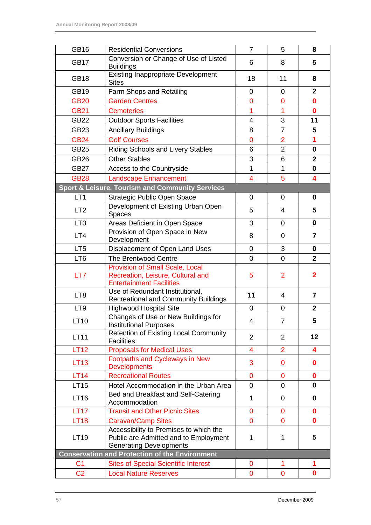| <b>GB16</b>                                           | <b>Residential Conversions</b>                                                                                    | $\overline{7}$            | 5              | 8                       |
|-------------------------------------------------------|-------------------------------------------------------------------------------------------------------------------|---------------------------|----------------|-------------------------|
| <b>GB17</b>                                           | Conversion or Change of Use of Listed<br>6<br><b>Buildings</b>                                                    |                           | 8              | 5                       |
| <b>GB18</b>                                           | <b>Existing Inappropriate Development</b><br>18<br><b>Sites</b>                                                   |                           | 11             | 8                       |
| <b>GB19</b>                                           | Farm Shops and Retailing                                                                                          | $\overline{0}$            | 0              | $\overline{2}$          |
| <b>GB20</b>                                           | <b>Garden Centres</b>                                                                                             | $\overline{0}$            | $\mathbf 0$    | $\mathbf 0$             |
| <b>GB21</b>                                           | <b>Cemeteries</b>                                                                                                 | 1                         | 1              | $\mathbf 0$             |
| <b>GB22</b>                                           | <b>Outdoor Sports Facilities</b>                                                                                  | 4                         | 3              | 11                      |
| GB23                                                  | <b>Ancillary Buildings</b>                                                                                        | 8                         | $\overline{7}$ | 5                       |
| <b>GB24</b>                                           | <b>Golf Courses</b>                                                                                               | $\overline{0}$            | $\overline{2}$ | 1                       |
| <b>GB25</b>                                           | <b>Riding Schools and Livery Stables</b>                                                                          | 6                         | $\overline{2}$ | $\mathbf 0$             |
| <b>GB26</b>                                           | <b>Other Stables</b>                                                                                              | 3                         | 6              | $\mathbf{2}$            |
| <b>GB27</b>                                           | Access to the Countryside                                                                                         | $\mathbf{1}$              | $\mathbf{1}$   | $\mathbf 0$             |
| <b>GB28</b>                                           | <b>Landscape Enhancement</b>                                                                                      | $\overline{4}$            | 5              | 4                       |
|                                                       | <b>Sport &amp; Leisure, Tourism and Community Services</b>                                                        |                           |                |                         |
| LT <sub>1</sub>                                       | <b>Strategic Public Open Space</b>                                                                                | 0                         | 0              | 0                       |
| LT <sub>2</sub>                                       | Development of Existing Urban Open<br><b>Spaces</b>                                                               | 5                         | 4              | 5                       |
| LT <sub>3</sub>                                       | Areas Deficient in Open Space                                                                                     | 3                         | $\mathbf 0$    | $\mathbf 0$             |
| LT4                                                   | Provision of Open Space in New<br>Development                                                                     | 8                         | 0              | 7                       |
| LT <sub>5</sub>                                       | Displacement of Open Land Uses                                                                                    | $\mathbf 0$               | 3              | $\mathbf 0$             |
| LT6                                                   | <b>The Brentwood Centre</b>                                                                                       | 0                         | $\mathbf 0$    | $\overline{2}$          |
| LT7                                                   | Provision of Small Scale, Local<br>Recreation, Leisure, Cultural and<br>5<br><b>Entertainment Facilities</b>      |                           | $\overline{2}$ | $\overline{\mathbf{2}}$ |
| LT <sub>8</sub>                                       | Use of Redundant Institutional,<br><b>Recreational and Community Buildings</b>                                    | 11<br>$\overline{7}$<br>4 |                |                         |
| LT <sub>9</sub>                                       | <b>Highwood Hospital Site</b>                                                                                     | $\overline{0}$            | 0              | $\mathbf{2}$            |
| LT10                                                  | Changes of Use or New Buildings for<br><b>Institutional Purposes</b>                                              | 4                         | $\overline{7}$ | 5                       |
| LT11                                                  | <b>Retention of Existing Local Community</b><br><b>Facilities</b>                                                 | $\overline{2}$            | 2              | 12                      |
| <b>LT12</b>                                           | <b>Proposals for Medical Uses</b>                                                                                 | $\overline{4}$            | $\overline{2}$ | 4                       |
| <b>LT13</b>                                           | Footpaths and Cycleways in New<br><b>Developments</b>                                                             | 3                         | 0              | 0                       |
| <b>LT14</b>                                           | <b>Recreational Routes</b>                                                                                        | $\overline{0}$            | $\overline{0}$ | $\mathbf 0$             |
| <b>LT15</b>                                           | Hotel Accommodation in the Urban Area                                                                             | 0                         | $\overline{0}$ | 0                       |
| LT16                                                  | Bed and Breakfast and Self-Catering<br>Accommodation                                                              | $\mathbf 1$               | 0              | 0                       |
| <b>LT17</b>                                           | <b>Transit and Other Picnic Sites</b>                                                                             | 0                         | $\mathbf 0$    | 0                       |
| <b>LT18</b>                                           | <b>Caravan/Camp Sites</b>                                                                                         | $\overline{0}$            | $\overline{0}$ | $\mathbf{0}$            |
| <b>LT19</b>                                           | Accessibility to Premises to which the<br>Public are Admitted and to Employment<br><b>Generating Developments</b> | 1                         | $\mathbf 1$    | 5                       |
| <b>Conservation and Protection of the Environment</b> |                                                                                                                   |                           |                |                         |
| C <sub>1</sub>                                        | <b>Sites of Special Scientific Interest</b>                                                                       | 0                         | 1              | 1                       |
| C <sub>2</sub>                                        | <b>Local Nature Reserves</b>                                                                                      | $\mathbf 0$               | $\mathbf 0$    | $\mathbf 0$             |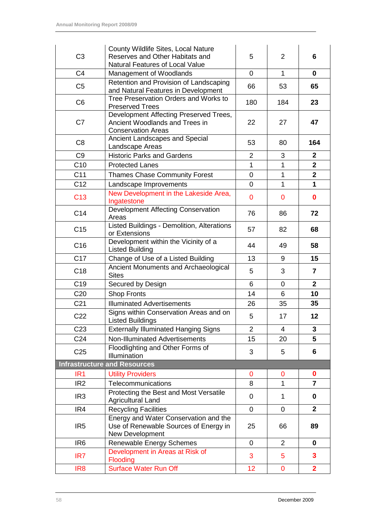| C <sub>3</sub>  | County Wildlife Sites, Local Nature<br>Reserves and Other Habitats and                                | 5              | $\overline{2}$ | 6              |
|-----------------|-------------------------------------------------------------------------------------------------------|----------------|----------------|----------------|
|                 | Natural Features of Local Value                                                                       |                |                |                |
| C <sub>4</sub>  | Management of Woodlands                                                                               | 0              | $\mathbf{1}$   | $\bf{0}$       |
| C <sub>5</sub>  | Retention and Provision of Landscaping<br>and Natural Features in Development                         | 66             | 53             | 65             |
| C <sub>6</sub>  | Tree Preservation Orders and Works to<br><b>Preserved Trees</b>                                       | 180            | 184            | 23             |
| C <sub>7</sub>  | Development Affecting Preserved Trees,<br>Ancient Woodlands and Trees in<br><b>Conservation Areas</b> | 22             | 27             | 47             |
| C <sub>8</sub>  | Ancient Landscapes and Special<br>Landscape Areas                                                     | 53             | 80             | 164            |
| C <sub>9</sub>  | <b>Historic Parks and Gardens</b>                                                                     | $\overline{2}$ | 3              | $\mathbf{2}$   |
| C10             | <b>Protected Lanes</b>                                                                                | $\mathbf{1}$   | $\mathbf{1}$   | $\overline{2}$ |
| C <sub>11</sub> | <b>Thames Chase Community Forest</b>                                                                  | 0              | 1              | $\mathbf{2}$   |
| C12             | Landscape Improvements                                                                                | $\overline{0}$ | $\mathbf{1}$   | 1              |
| C <sub>13</sub> | New Development in the Lakeside Area,<br>Ingatestone                                                  | 0              | 0              | $\bf{0}$       |
| C14             | Development Affecting Conservation<br>Areas                                                           | 76             | 86             | 72             |
| C <sub>15</sub> | Listed Buildings - Demolition, Alterations<br>or Extensions                                           | 57             | 82             | 68             |
| C <sub>16</sub> | Development within the Vicinity of a<br><b>Listed Building</b>                                        | 44             | 49             | 58             |
| C <sub>17</sub> | Change of Use of a Listed Building                                                                    | 13             | 9              | 15             |
| C <sub>18</sub> | Ancient Monuments and Archaeological<br><b>Sites</b>                                                  | 5              | 3              | $\overline{7}$ |
| C <sub>19</sub> | Secured by Design                                                                                     | 6              | 0              | $\mathbf{2}$   |
| C <sub>20</sub> | <b>Shop Fronts</b>                                                                                    | 14             | 6              | 10             |
| C <sub>21</sub> | <b>Illuminated Advertisements</b>                                                                     | 26             | 35             | 35             |
| C <sub>22</sub> | Signs within Conservation Areas and on<br><b>Listed Buildings</b>                                     | 5              | 17             | 12             |
| C <sub>23</sub> | <b>Externally Illuminated Hanging Signs</b>                                                           | $\overline{2}$ | $\overline{4}$ | $\mathbf{3}$   |
| C <sub>24</sub> | Non-Illuminated Advertisements                                                                        | 15             | 20             | 5              |
| C <sub>25</sub> | Floodlighting and Other Forms of<br>Illumination                                                      | 3              | 5              | 6              |
|                 | <b>Infrastructure and Resources</b>                                                                   |                |                |                |
| IR <sub>1</sub> | <b>Utility Providers</b>                                                                              | 0              | 0              | $\mathbf 0$    |
| IR <sub>2</sub> | Telecommunications                                                                                    | 8              | $\mathbf{1}$   | $\overline{7}$ |
| IR <sub>3</sub> | Protecting the Best and Most Versatile<br><b>Agricultural Land</b>                                    | $\mathbf 0$    | $\mathbf 1$    | $\bf{0}$       |
| IR4             | <b>Recycling Facilities</b>                                                                           | $\overline{0}$ | $\overline{0}$ | $\overline{2}$ |
| IR <sub>5</sub> | Energy and Water Conservation and the<br>Use of Renewable Sources of Energy in<br>New Development     | 25             | 66             | 89             |
| IR <sub>6</sub> | Renewable Energy Schemes                                                                              | $\mathbf 0$    | $\overline{2}$ | $\bf{0}$       |
| IR7             | Development in Areas at Risk of<br>Flooding                                                           | 3              | 5              | 3              |
| IR <sub>8</sub> | <b>Surface Water Run Off</b>                                                                          | 12             | $\overline{0}$ | $\overline{2}$ |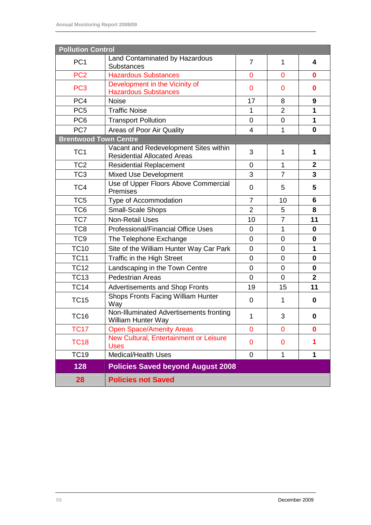| <b>Pollution Control</b>     |                                                                             |                |                |                |
|------------------------------|-----------------------------------------------------------------------------|----------------|----------------|----------------|
| PC <sub>1</sub>              | Land Contaminated by Hazardous<br><b>Substances</b>                         | $\overline{7}$ | $\mathbf{1}$   | 4              |
| PC <sub>2</sub>              | <b>Hazardous Substances</b><br>0                                            |                | $\overline{0}$ | $\bf{0}$       |
| PC <sub>3</sub>              | Development in the Vicinity of<br>0<br><b>Hazardous Substances</b>          |                | 0              | $\bf{0}$       |
| PC4                          | <b>Noise</b>                                                                | 17             | 8              | 9              |
| PC <sub>5</sub>              | <b>Traffic Noise</b>                                                        | 1              | $\overline{2}$ | 1              |
| PC <sub>6</sub>              | <b>Transport Pollution</b>                                                  | 0              | 0              | 1              |
| PC7                          | Areas of Poor Air Quality                                                   | 4              | $\mathbf{1}$   | $\bf{0}$       |
| <b>Brentwood Town Centre</b> |                                                                             |                |                |                |
| TC <sub>1</sub>              | Vacant and Redevelopment Sites within<br><b>Residential Allocated Areas</b> | 3              | $\mathbf{1}$   | 1              |
| TC <sub>2</sub>              | <b>Residential Replacement</b>                                              | 0              | $\mathbf{1}$   | $\overline{2}$ |
| TC <sub>3</sub>              | <b>Mixed Use Development</b>                                                | 3              | $\overline{7}$ | 3              |
| TC4                          | Use of Upper Floors Above Commercial<br>Premises                            | 0              | 5              | 5              |
| TC <sub>5</sub>              | Type of Accommodation                                                       | 7              | 10             | 6              |
| TC <sub>6</sub>              | Small-Scale Shops                                                           | $\overline{2}$ | 5              | 8              |
| TC7                          | <b>Non-Retail Uses</b>                                                      | 10             | $\overline{7}$ | 11             |
| TC <sub>8</sub>              | Professional/Financial Office Uses                                          | 0              | $\mathbf{1}$   | 0              |
| TC <sub>9</sub>              | The Telephone Exchange                                                      | 0              | 0              | 0              |
| <b>TC10</b>                  | Site of the William Hunter Way Car Park                                     | 0              | 0              | 1              |
| <b>TC11</b>                  | Traffic in the High Street                                                  | 0              | $\mathbf 0$    | $\bf{0}$       |
| <b>TC12</b>                  | Landscaping in the Town Centre                                              | 0              | $\mathbf 0$    | $\mathbf 0$    |
| <b>TC13</b>                  | <b>Pedestrian Areas</b>                                                     | 0              | $\overline{0}$ | $\mathbf{2}$   |
| <b>TC14</b>                  | <b>Advertisements and Shop Fronts</b>                                       | 19             | 15             | 11             |
| <b>TC15</b>                  | Shops Fronts Facing William Hunter<br>Way                                   | $\overline{0}$ | $\mathbf{1}$   | 0              |
| <b>TC16</b>                  | Non-Illuminated Advertisements fronting<br><b>William Hunter Way</b>        | 1              | 3              | 0              |
| <b>TC17</b>                  | <b>Open Space/Amenity Areas</b>                                             | 0              | $\overline{0}$ | $\bf{0}$       |
| <b>TC18</b>                  | New Cultural, Entertainment or Leisure<br><b>Uses</b>                       | 0              | 0              | 1              |
| <b>TC19</b>                  | <b>Medical/Health Uses</b>                                                  | 0              | $\mathbf{1}$   | 1              |
| 128                          | <b>Policies Saved beyond August 2008</b>                                    |                |                |                |
| 28                           | <b>Policies not Saved</b>                                                   |                |                |                |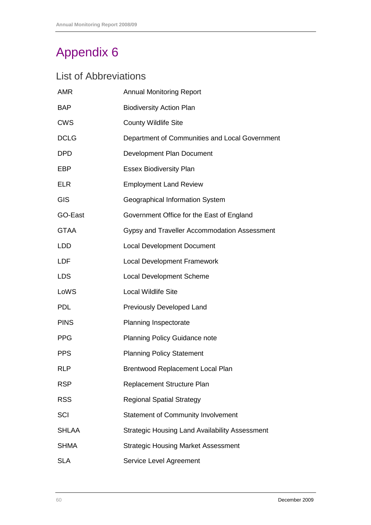# List of Abbreviations

| <b>AMR</b>   | <b>Annual Monitoring Report</b>                       |
|--------------|-------------------------------------------------------|
| <b>BAP</b>   | <b>Biodiversity Action Plan</b>                       |
| <b>CWS</b>   | <b>County Wildlife Site</b>                           |
| <b>DCLG</b>  | Department of Communities and Local Government        |
| <b>DPD</b>   | Development Plan Document                             |
| EBP          | <b>Essex Biodiversity Plan</b>                        |
| <b>ELR</b>   | <b>Employment Land Review</b>                         |
| <b>GIS</b>   | Geographical Information System                       |
| GO-East      | Government Office for the East of England             |
| <b>GTAA</b>  | Gypsy and Traveller Accommodation Assessment          |
| <b>LDD</b>   | <b>Local Development Document</b>                     |
| <b>LDF</b>   | <b>Local Development Framework</b>                    |
| <b>LDS</b>   | <b>Local Development Scheme</b>                       |
| LoWS         | <b>Local Wildlife Site</b>                            |
| <b>PDL</b>   | Previously Developed Land                             |
| <b>PINS</b>  | Planning Inspectorate                                 |
| <b>PPG</b>   | <b>Planning Policy Guidance note</b>                  |
| <b>PPS</b>   | <b>Planning Policy Statement</b>                      |
| <b>RLP</b>   | Brentwood Replacement Local Plan                      |
| <b>RSP</b>   | Replacement Structure Plan                            |
| <b>RSS</b>   | <b>Regional Spatial Strategy</b>                      |
| SCI          | <b>Statement of Community Involvement</b>             |
| <b>SHLAA</b> | <b>Strategic Housing Land Availability Assessment</b> |
| <b>SHMA</b>  | <b>Strategic Housing Market Assessment</b>            |
| <b>SLA</b>   | Service Level Agreement                               |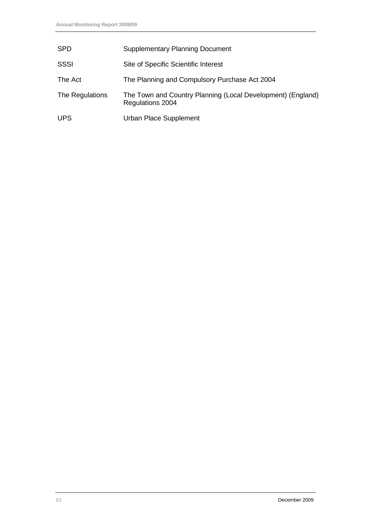| <b>SPD</b>      | <b>Supplementary Planning Document</b>                                          |
|-----------------|---------------------------------------------------------------------------------|
| SSSI            | Site of Specific Scientific Interest                                            |
| The Act         | The Planning and Compulsory Purchase Act 2004                                   |
| The Regulations | The Town and Country Planning (Local Development) (England)<br>Regulations 2004 |
| <b>UPS</b>      | Urban Place Supplement                                                          |